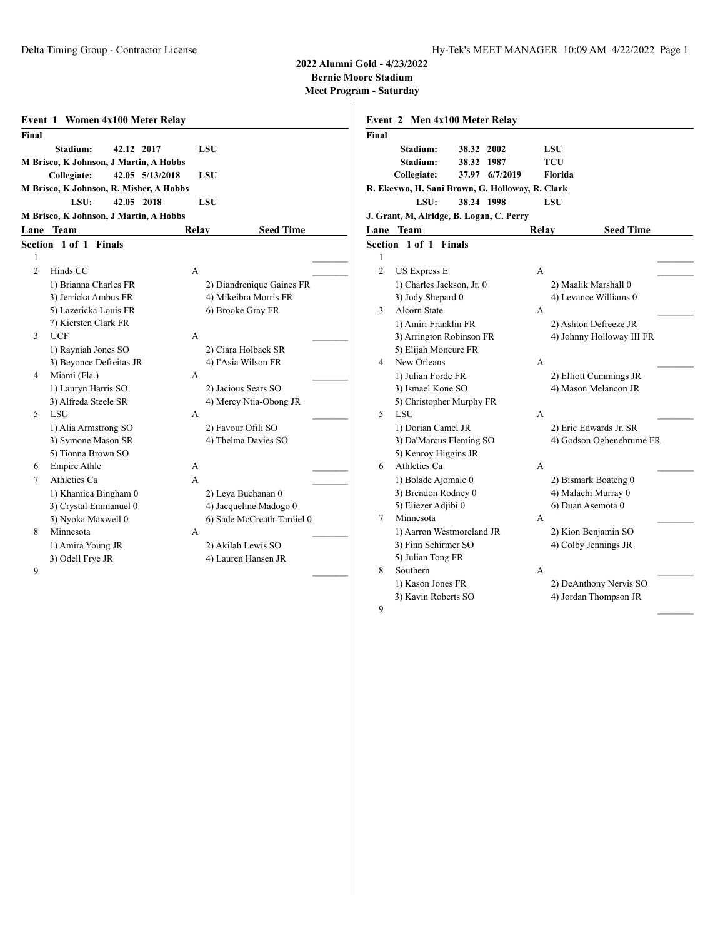**2022 Alumni Gold - 4/23/2022**

**Bernie Moore Stadium**

|                | Event 1 Women 4x100 Meter Relay         |            |                            |
|----------------|-----------------------------------------|------------|----------------------------|
| Final          |                                         |            |                            |
|                | Stadium:<br>42.12 2017                  | <b>LSU</b> |                            |
|                | M Brisco, K Johnson, J Martin, A Hobbs  |            |                            |
|                | Collegiate:<br>42.05 5/13/2018          | <b>LSU</b> |                            |
|                | M Brisco, K Johnson, R. Misher, A Hobbs |            |                            |
|                | LSU:<br>42.05 2018                      | LSU        |                            |
|                | M Brisco, K Johnson, J Martin, A Hobbs  |            |                            |
| Lane           | <b>Team</b>                             | Relay      | <b>Seed Time</b>           |
|                | Section 1 of 1<br><b>Finals</b>         |            |                            |
| $\mathbf{1}$   |                                         |            |                            |
| $\overline{c}$ | Hinds CC                                | A          |                            |
|                | 1) Brianna Charles FR                   |            | 2) Diandrenique Gaines FR  |
|                | 3) Jerricka Ambus FR                    |            | 4) Mikeibra Morris FR      |
|                | 5) Lazericka Louis FR                   |            | 6) Brooke Gray FR          |
|                | 7) Kiersten Clark FR                    |            |                            |
| 3              | <b>UCF</b>                              | A          |                            |
|                | 1) Rayniah Jones SO                     |            | 2) Ciara Holback SR        |
|                | 3) Beyonce Defreitas JR                 |            | 4) l'Asia Wilson FR        |
| 4              | Miami (Fla.)                            | A          |                            |
|                | 1) Lauryn Harris SO                     |            | 2) Jacious Sears SO        |
|                | 3) Alfreda Steele SR                    |            | 4) Mercy Ntia-Obong JR     |
| 5              | LSU                                     | A          |                            |
|                | 1) Alia Armstrong SO                    |            | 2) Favour Ofili SO         |
|                | 3) Symone Mason SR                      |            | 4) Thelma Davies SO        |
| 6              | 5) Tionna Brown SO<br>Empire Athle      | A          |                            |
| 7              | Athletics Ca                            | A          |                            |
|                | 1) Khamica Bingham 0                    |            | 2) Leya Buchanan 0         |
|                | 3) Crystal Emmanuel 0                   |            | 4) Jacqueline Madogo 0     |
|                | 5) Nyoka Maxwell 0                      |            | 6) Sade McCreath-Tardiel 0 |
| 8              | Minnesota                               | A          |                            |
|                | 1) Amira Young JR                       |            | 2) Akilah Lewis SO         |
|                | 3) Odell Frye JR                        |            | 4) Lauren Hansen JR        |
| 9              |                                         |            |                            |
|                |                                         |            |                            |

| Final          |                                                  |                |              |            |                                             |
|----------------|--------------------------------------------------|----------------|--------------|------------|---------------------------------------------|
|                | Stadium:                                         | 38.32 2002     |              | LSU        |                                             |
|                | Stadium:                                         | 38.32 1987     |              | <b>TCU</b> |                                             |
|                | Collegiate:                                      | 37.97 6/7/2019 |              | Florida    |                                             |
|                | R. Ekevwo, H. Sani Brown, G. Holloway, R. Clark  |                |              |            |                                             |
|                | LSU:                                             | 38.24 1998     |              | <b>LSU</b> |                                             |
|                | J. Grant, M, Alridge, B. Logan, C. Perry         |                |              |            |                                             |
|                | Lane Team                                        |                | Relay        |            | <b>Seed Time</b>                            |
|                | Section 1 of 1 Finals                            |                |              |            |                                             |
| $\mathbf{1}$   |                                                  |                |              |            |                                             |
| $\overline{c}$ | <b>US Express E</b>                              |                | A            |            |                                             |
|                | 1) Charles Jackson, Jr. 0                        |                |              |            | 2) Maalik Marshall 0                        |
|                | 3) Jody Shepard 0                                |                |              |            | 4) Levance Williams 0                       |
| 3              | Alcorn State                                     |                | A            |            |                                             |
|                | 1) Amiri Franklin FR                             |                |              |            | 2) Ashton Defreeze JR                       |
|                | 3) Arrington Robinson FR                         |                |              |            | 4) Johnny Holloway III FR                   |
|                | 5) Elijah Moncure FR                             |                |              |            |                                             |
| $\overline{4}$ | New Orleans                                      |                | A            |            |                                             |
|                | 1) Julian Forde FR                               |                |              |            | 2) Elliott Cummings JR                      |
|                | 3) Ismael Kone SO                                |                |              |            | 4) Mason Melancon JR                        |
|                | 5) Christopher Murphy FR                         |                |              |            |                                             |
| 5              | <b>LSU</b>                                       |                | A            |            |                                             |
|                | 1) Dorian Camel JR                               |                |              |            | 2) Eric Edwards Jr. SR                      |
|                | 3) Da'Marcus Fleming SO                          |                |              |            | 4) Godson Oghenebrume FR                    |
|                | 5) Kenroy Higgins JR                             |                |              |            |                                             |
| 6              | Athletics Ca                                     |                | $\mathsf{A}$ |            |                                             |
|                | 1) Bolade Ajomale 0                              |                |              |            | 2) Bismark Boateng 0                        |
|                | 3) Brendon Rodney 0                              |                |              |            | 4) Malachi Murray 0<br>6) Duan Asemota 0    |
| 7              | 5) Eliezer Adjibi 0<br>Minnesota                 |                | A            |            |                                             |
|                |                                                  |                |              |            |                                             |
|                | 1) Aarron Westmoreland JR<br>3) Finn Schirmer SO |                |              |            | 2) Kion Benjamin SO<br>4) Colby Jennings JR |
|                | 5) Julian Tong FR                                |                |              |            |                                             |
| 8              | Southern                                         |                | A            |            |                                             |
|                | 1) Kason Jones FR                                |                |              |            | 2) DeAnthony Nervis SO                      |
|                | 3) Kavin Roberts SO                              |                |              |            | 4) Jordan Thompson JR                       |
| 9              |                                                  |                |              |            |                                             |
|                |                                                  |                |              |            |                                             |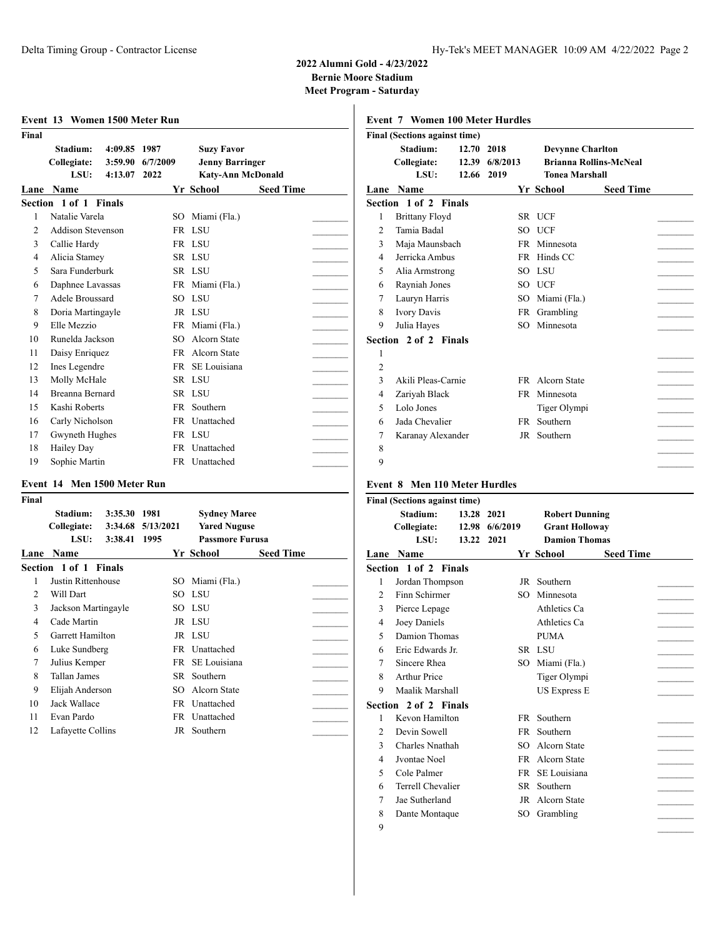**Meet Program - Saturday**

| Stadium:          |      |                                                                                                                                                                                                                                                                                                                                                                         | <b>Suzy Favor</b>                |                                                                                                                                                                                                                    |                                                    |
|-------------------|------|-------------------------------------------------------------------------------------------------------------------------------------------------------------------------------------------------------------------------------------------------------------------------------------------------------------------------------------------------------------------------|----------------------------------|--------------------------------------------------------------------------------------------------------------------------------------------------------------------------------------------------------------------|----------------------------------------------------|
|                   |      |                                                                                                                                                                                                                                                                                                                                                                         |                                  |                                                                                                                                                                                                                    |                                                    |
| Name              |      |                                                                                                                                                                                                                                                                                                                                                                         |                                  | <b>Seed Time</b>                                                                                                                                                                                                   |                                                    |
|                   |      |                                                                                                                                                                                                                                                                                                                                                                         |                                  |                                                                                                                                                                                                                    |                                                    |
|                   |      | SO.                                                                                                                                                                                                                                                                                                                                                                     | Miami (Fla.)                     |                                                                                                                                                                                                                    |                                                    |
|                   |      |                                                                                                                                                                                                                                                                                                                                                                         |                                  |                                                                                                                                                                                                                    |                                                    |
|                   |      |                                                                                                                                                                                                                                                                                                                                                                         |                                  |                                                                                                                                                                                                                    |                                                    |
|                   |      |                                                                                                                                                                                                                                                                                                                                                                         |                                  |                                                                                                                                                                                                                    |                                                    |
|                   |      |                                                                                                                                                                                                                                                                                                                                                                         |                                  |                                                                                                                                                                                                                    |                                                    |
|                   |      |                                                                                                                                                                                                                                                                                                                                                                         |                                  |                                                                                                                                                                                                                    |                                                    |
|                   |      |                                                                                                                                                                                                                                                                                                                                                                         |                                  |                                                                                                                                                                                                                    |                                                    |
|                   |      |                                                                                                                                                                                                                                                                                                                                                                         |                                  |                                                                                                                                                                                                                    |                                                    |
| Elle Mezzio       |      |                                                                                                                                                                                                                                                                                                                                                                         |                                  |                                                                                                                                                                                                                    |                                                    |
|                   |      | SO.                                                                                                                                                                                                                                                                                                                                                                     | Alcorn State                     |                                                                                                                                                                                                                    |                                                    |
|                   |      |                                                                                                                                                                                                                                                                                                                                                                         |                                  |                                                                                                                                                                                                                    |                                                    |
|                   |      |                                                                                                                                                                                                                                                                                                                                                                         | SE Louisiana                     |                                                                                                                                                                                                                    |                                                    |
|                   |      |                                                                                                                                                                                                                                                                                                                                                                         |                                  |                                                                                                                                                                                                                    |                                                    |
|                   |      |                                                                                                                                                                                                                                                                                                                                                                         |                                  |                                                                                                                                                                                                                    |                                                    |
|                   |      |                                                                                                                                                                                                                                                                                                                                                                         | Southern                         |                                                                                                                                                                                                                    |                                                    |
|                   |      |                                                                                                                                                                                                                                                                                                                                                                         |                                  |                                                                                                                                                                                                                    |                                                    |
|                   |      |                                                                                                                                                                                                                                                                                                                                                                         |                                  |                                                                                                                                                                                                                    |                                                    |
| <b>Hailey Day</b> |      |                                                                                                                                                                                                                                                                                                                                                                         |                                  |                                                                                                                                                                                                                    |                                                    |
|                   |      |                                                                                                                                                                                                                                                                                                                                                                         |                                  |                                                                                                                                                                                                                    |                                                    |
|                   | LSU: | Collegiate:<br>3:59.90<br>4:13.07<br>Section 1 of 1 Finals<br>Natalie Varela<br><b>Addison Stevenson</b><br>Callie Hardy<br>Alicia Stamey<br>Sara Funderburk<br>Daphnee Lavassas<br>Adele Broussard<br>Doria Martingayle<br>Runelda Jackson<br>Daisy Enriquez<br>Ines Legendre<br>Molly McHale<br>Breanna Bernard<br>Kashi Roberts<br>Carly Nicholson<br>Gwyneth Hughes | 4:09.85 1987<br>6/7/2009<br>2022 | <b>Yr School</b><br>FR LSU<br>FR LSU<br>SR LSU<br>SR LSU<br>FR Miami (Fla.)<br>SO LSU<br>JR LSU<br>FR Miami (Fla.)<br>FR Alcorn State<br>FR.<br>SR LSU<br>SR LSU<br>FR<br>FR Unattached<br>FR LSU<br>FR Unattached | <b>Jenny Barringer</b><br><b>Katy-Ann McDonald</b> |

# **Event 14 Men 1500 Meter Run**

| Final |                              |                   |                        |                  |  |
|-------|------------------------------|-------------------|------------------------|------------------|--|
|       | Stadium:<br>3:35.30          | 1981              | <b>Sydney Maree</b>    |                  |  |
|       | Collegiate:                  | 3:34.68 5/13/2021 | <b>Yared Nuguse</b>    |                  |  |
|       | LSU:<br>3:38.41              | 1995              | <b>Passmore Furusa</b> |                  |  |
| Lane  | <b>Name</b>                  |                   | Yr School              | <b>Seed Time</b> |  |
|       | <b>Section 1 of 1 Finals</b> |                   |                        |                  |  |
| 1     | Justin Rittenhouse           | SO.               | Miami (Fla.)           |                  |  |
| 2     | Will Dart                    |                   | SO LSU                 |                  |  |
| 3     | Jackson Martingayle          |                   | SO LSU                 |                  |  |
| 4     | Cade Martin                  |                   | JR LSU                 |                  |  |
| 5     | Garrett Hamilton             |                   | JR LSU                 |                  |  |
| 6     | Luke Sundberg                |                   | FR Unattached          |                  |  |
| 7     | Julius Kemper                | FR                | SE Louisiana           |                  |  |
| 8     | Tallan James                 | SR.               | Southern               |                  |  |
| 9     | Elijah Anderson              | SO.               | Alcorn State           |                  |  |
| 10    | Jack Wallace                 | FR                | Unattached             |                  |  |
| 11    | Evan Pardo                   | FR                | Unattached             |                  |  |
| 12    | Lafayette Collins            | JR                | Southern               |                  |  |
|       |                              |                   |                        |                  |  |

|                | <b>Event 7 Women 100 Meter Hurdles</b> |            |           |                         |                               |  |
|----------------|----------------------------------------|------------|-----------|-------------------------|-------------------------------|--|
|                | <b>Final (Sections against time)</b>   |            |           |                         |                               |  |
|                | Stadium:                               | 12.70 2018 |           | <b>Devynne Charlton</b> |                               |  |
|                | Collegiate:                            | 12.39      | 6/8/2013  |                         | <b>Brianna Rollins-McNeal</b> |  |
|                | LSU:                                   | 12.66 2019 |           | <b>Tonea Marshall</b>   |                               |  |
|                | <b>Lane Name</b>                       |            |           | Yr School               | <b>Seed Time</b>              |  |
|                | <b>Section 1 of 2 Finals</b>           |            |           |                         |                               |  |
| 1              | <b>Brittany Floyd</b>                  |            |           | SR UCF                  |                               |  |
| $\overline{2}$ | Tamia Badal                            |            |           | SO UCF                  |                               |  |
| 3              | Maja Maunsbach                         |            |           | FR Minnesota            |                               |  |
| 4              | Jerricka Ambus                         |            |           | FR Hinds CC             |                               |  |
| 5              | Alia Armstrong                         |            |           | SO LSU                  |                               |  |
| 6              | Rayniah Jones                          |            |           | SO UCF                  |                               |  |
| 7              | Lauryn Harris                          |            |           | SO Miami (Fla.)         |                               |  |
| 8              | <b>Ivory Davis</b>                     |            |           | FR Grambling            |                               |  |
| 9              | Julia Hayes                            |            |           | SO Minnesota            |                               |  |
|                | Section 2 of 2 Finals                  |            |           |                         |                               |  |
| 1              |                                        |            |           |                         |                               |  |
| $\overline{2}$ |                                        |            |           |                         |                               |  |
| 3              | Akili Pleas-Carnie                     |            |           | FR Alcorn State         |                               |  |
| 4              | Zariyah Black                          |            | <b>FR</b> | Minnesota               |                               |  |
| 5              | Lolo Jones                             |            |           | Tiger Olympi            |                               |  |
| 6              | Jada Chevalier                         |            | FR        | Southern                |                               |  |
| 7              | Karanay Alexander                      |            |           | JR Southern             |                               |  |
| 8              |                                        |            |           |                         |                               |  |
| 9              |                                        |            |           |                         |                               |  |
|                |                                        |            |           |                         |                               |  |

# **Event 8 Men 110 Meter Hurdles**

|                | <b>Final (Sections against time)</b> |                     |                        |                                                                        |                  |  |
|----------------|--------------------------------------|---------------------|------------------------|------------------------------------------------------------------------|------------------|--|
|                | Stadium:<br>Collegiate:<br>LSU:      | 13.28 2021<br>13.22 | 12.98 6/6/2019<br>2021 | <b>Robert Dunning</b><br><b>Grant Holloway</b><br><b>Damion Thomas</b> |                  |  |
|                | Lane Name                            |                     |                        | Yr School                                                              | <b>Seed Time</b> |  |
|                | Section 1 of 2 Finals                |                     |                        |                                                                        |                  |  |
| 1              | Jordan Thompson                      |                     |                        | JR Southern                                                            |                  |  |
| 2              | Finn Schirmer                        |                     | SO.                    | Minnesota                                                              |                  |  |
| 3              | Pierce Lepage                        |                     |                        | Athletics Ca                                                           |                  |  |
| 4              | Joey Daniels                         |                     |                        | Athletics Ca                                                           |                  |  |
| 5              | Damion Thomas                        |                     |                        | <b>PUMA</b>                                                            |                  |  |
| 6              | Eric Edwards Jr.                     |                     |                        | SR LSU                                                                 |                  |  |
| 7              | Sincere Rhea                         |                     | SO.                    | Miami (Fla.)                                                           |                  |  |
| 8              | <b>Arthur Price</b>                  |                     |                        | Tiger Olympi                                                           |                  |  |
| 9              | Maalik Marshall                      |                     |                        | <b>US Express E</b>                                                    |                  |  |
|                | Section 2 of 2 Finals                |                     |                        |                                                                        |                  |  |
| 1              | Kevon Hamilton                       |                     | FR -                   | Southern                                                               |                  |  |
| $\mathfrak{D}$ | Devin Sowell                         |                     | FR -                   | Southern                                                               |                  |  |
| 3              | Charles Nnathah                      |                     | SO <sub>2</sub>        | Alcorn State                                                           |                  |  |
| 4              | Jyontae Noel                         |                     | FR.                    | Alcorn State                                                           |                  |  |
| 5              | Cole Palmer                          |                     | FR                     | SE Louisiana                                                           |                  |  |
| 6              | Terrell Chevalier                    |                     | SR                     | Southern                                                               |                  |  |
| 7              | Jae Sutherland                       |                     | JR                     | Alcorn State                                                           |                  |  |
| 8              | Dante Montaque                       |                     |                        | SO Grambling                                                           |                  |  |
|                |                                      |                     |                        |                                                                        |                  |  |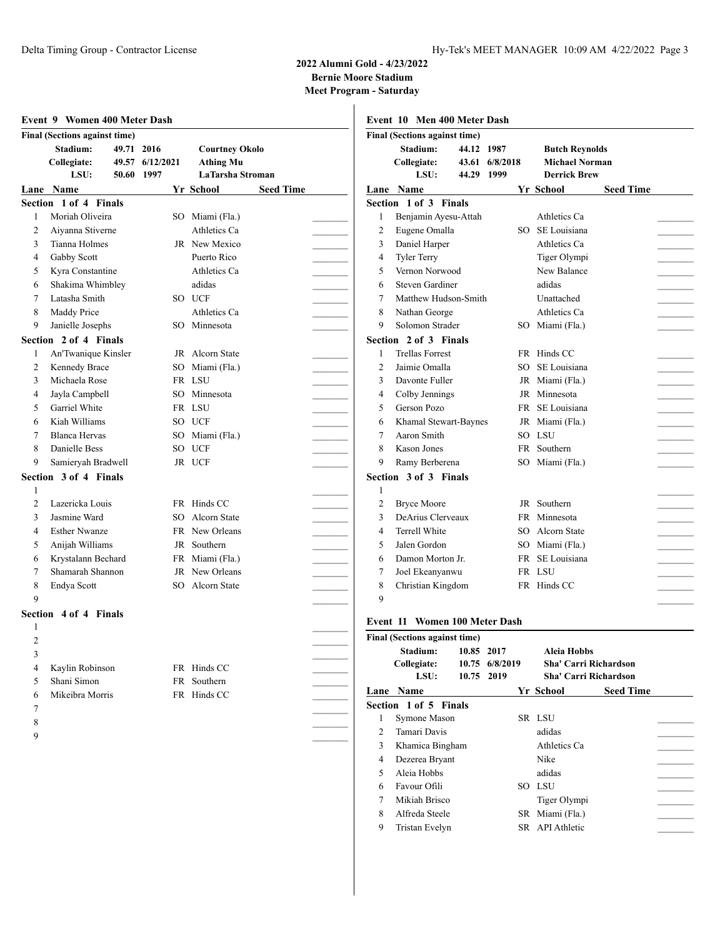|                | <b>Final (Sections against time)</b> |       |                 |                  |                       |                  |  |
|----------------|--------------------------------------|-------|-----------------|------------------|-----------------------|------------------|--|
|                | Stadium:                             | 49.71 | 2016            |                  | <b>Courtney Okolo</b> |                  |  |
|                | Collegiate:                          |       | 49.57 6/12/2021 | <b>Athing Mu</b> |                       |                  |  |
|                | LSU:                                 | 50.60 | 1997            |                  | LaTarsha Stroman      |                  |  |
|                | Lane Name                            |       |                 | Yr School        |                       | <b>Seed Time</b> |  |
|                | Section 1 of 4 Finals                |       |                 |                  |                       |                  |  |
| 1              | Moriah Oliveira                      |       |                 | SO Miami (Fla.)  |                       |                  |  |
| $\overline{2}$ | Aiyanna Stiverne                     |       |                 | Athletics Ca     |                       |                  |  |
| 3              | Tianna Holmes                        |       |                 | JR New Mexico    |                       |                  |  |
| 4              | Gabby Scott                          |       |                 | Puerto Rico      |                       |                  |  |
| 5              | Kyra Constantine                     |       |                 | Athletics Ca     |                       |                  |  |
| 6              | Shakima Whimbley                     |       |                 | adidas           |                       |                  |  |
| 7              | Latasha Smith                        |       |                 | SO UCF           |                       |                  |  |
| 8              | Maddy Price                          |       |                 | Athletics Ca     |                       |                  |  |
| 9              | Janielle Josephs                     |       |                 | SO Minnesota     |                       |                  |  |
|                | Section 2 of 4 Finals                |       |                 |                  |                       |                  |  |
| 1              | An'Twanique Kinsler                  |       |                 | JR Alcorn State  |                       |                  |  |
| 2              | Kennedy Brace                        |       |                 | SO Miami (Fla.)  |                       |                  |  |
| 3              | Michaela Rose                        |       |                 | FR LSU           |                       |                  |  |
| 4              | Jayla Campbell                       |       |                 | SO Minnesota     |                       |                  |  |
| 5              | Garriel White                        |       |                 | FR LSU           |                       |                  |  |
| 6              | Kiah Williams                        |       |                 | SO UCF           |                       |                  |  |
| 7              | <b>Blanca Hervas</b>                 |       |                 | SO Miami (Fla.)  |                       |                  |  |
| 8              | Danielle Bess                        |       |                 | SO UCF           |                       |                  |  |
| 9              | Samieryah Bradwell                   |       |                 | JR UCF           |                       |                  |  |
|                | Section 3 of 4 Finals                |       |                 |                  |                       |                  |  |
| 1              |                                      |       |                 |                  |                       |                  |  |
| $\overline{c}$ | Lazericka Louis                      |       |                 | FR Hinds CC      |                       |                  |  |
| 3              | Jasmine Ward                         |       |                 | SO Alcorn State  |                       |                  |  |
| 4              | <b>Esther Nwanze</b>                 |       |                 | FR New Orleans   |                       |                  |  |
| 5              | Anijah Williams                      |       |                 | JR Southern      |                       |                  |  |
| 6              | Krystalann Bechard                   |       |                 | FR Miami (Fla.)  |                       |                  |  |
| 7              | Shamarah Shannon                     |       |                 | JR New Orleans   |                       |                  |  |
| 8              | Endya Scott                          |       |                 | SO Alcorn State  |                       |                  |  |
| 9              |                                      |       |                 |                  |                       |                  |  |
|                | Section 4 of 4 Finals                |       |                 |                  |                       |                  |  |
| 1              |                                      |       |                 |                  |                       |                  |  |
| 2              |                                      |       |                 |                  |                       |                  |  |
| 3              |                                      |       |                 |                  |                       |                  |  |
| $\overline{4}$ | Kaylin Robinson                      |       |                 | FR Hinds CC      |                       |                  |  |
| 5              | Shani Simon                          |       |                 | FR Southern      |                       |                  |  |
| 6              | Mikeibra Morris                      |       |                 | FR Hinds CC      |                       |                  |  |
| 7              |                                      |       |                 |                  |                       |                  |  |
| 8              |                                      |       |                 |                  |                       |                  |  |
| 9              |                                      |       |                 |                  |                       |                  |  |

|                | Event 10 Men 400 Meter Dash          |          |                       |                  |  |
|----------------|--------------------------------------|----------|-----------------------|------------------|--|
|                | <b>Final (Sections against time)</b> |          |                       |                  |  |
|                | Stadium:<br>44.12 1987               |          | <b>Butch Reynolds</b> |                  |  |
|                | Collegiate:<br>43.61                 | 6/8/2018 | <b>Michael Norman</b> |                  |  |
|                | LSU:<br>44.29                        | 1999     | <b>Derrick Brew</b>   |                  |  |
|                | <b>Lane Name</b>                     |          | Yr School             | <b>Seed Time</b> |  |
|                | Section 1 of 3 Finals                |          |                       |                  |  |
| 1              | Benjamin Ayesu-Attah                 |          | Athletics Ca          |                  |  |
| $\overline{c}$ | Eugene Omalla                        |          | SO SE Louisiana       |                  |  |
| 3              | Daniel Harper                        |          | Athletics Ca          |                  |  |
| $\overline{4}$ | Tyler Terry                          |          | Tiger Olympi          |                  |  |
| 5              | Vernon Norwood                       |          | New Balance           |                  |  |
| 6              | <b>Steven Gardiner</b>               |          | adidas                |                  |  |
| 7              | Matthew Hudson-Smith                 |          | Unattached            |                  |  |
| 8              | Nathan George                        |          | Athletics Ca          |                  |  |
| 9              | Solomon Strader                      |          | SO Miami (Fla.)       |                  |  |
|                | Section 2 of 3 Finals                |          |                       |                  |  |
| 1              | <b>Trellas Forrest</b>               | FR       | Hinds CC              |                  |  |
| $\overline{c}$ | Jaimie Omalla                        |          | SO SE Louisiana       |                  |  |
| 3              | Davonte Fuller                       |          | JR Miami (Fla.)       |                  |  |
| 4              | Colby Jennings                       |          | JR Minnesota          |                  |  |
| 5              | Gerson Pozo                          |          | FR SE Louisiana       |                  |  |
| 6              | Khamal Stewart-Baynes                |          | JR Miami (Fla.)       |                  |  |
| 7              | Aaron Smith                          |          | SO LSU                |                  |  |
| 8              | <b>Kason Jones</b>                   |          | FR Southern           |                  |  |
| 9              | Ramy Berberena                       |          | SO Miami (Fla.)       |                  |  |
|                | Section 3 of 3 Finals                |          |                       |                  |  |
| 1              |                                      |          |                       |                  |  |
| 2              | <b>Bryce Moore</b>                   |          | JR Southern           |                  |  |
| 3              | DeArius Clerveaux                    | FR.      | Minnesota             |                  |  |
| $\overline{4}$ | <b>Terrell White</b>                 |          | SO Alcorn State       |                  |  |
| 5              | Jalen Gordon                         |          | SO Miami (Fla.)       |                  |  |
| 6              | Damon Morton Jr.                     |          | FR SE Louisiana       |                  |  |
| 7              | Joel Ekeanyanwu                      |          | FR LSU                |                  |  |
| 8              | Christian Kingdom                    |          | FR Hinds CC           |                  |  |
| 9              |                                      |          |                       |                  |  |
|                |                                      |          |                       |                  |  |
|                | <b>Event 11 Women 100 Meter Dash</b> |          |                       |                  |  |

|                | Final (Sections against time)   |                                            |                                                               |                  |  |
|----------------|---------------------------------|--------------------------------------------|---------------------------------------------------------------|------------------|--|
|                | Stadium:<br>Collegiate:<br>LSU: | 10.85 2017<br>10.75 6/8/2019<br>10.75 2019 | Aleia Hobbs<br>Sha' Carri Richardson<br>Sha' Carri Richardson |                  |  |
|                | Lane Name                       |                                            | Yr School                                                     | <b>Seed Time</b> |  |
|                | Section 1 of 5 Finals           |                                            |                                                               |                  |  |
| 1              | Symone Mason                    |                                            | SR LSU                                                        |                  |  |
| $\mathfrak{D}$ | Tamari Davis                    |                                            | adidas                                                        |                  |  |
| 3              | Khamica Bingham                 |                                            | Athletics Ca                                                  |                  |  |
| 4              | Dezerea Bryant                  |                                            | Nike                                                          |                  |  |
| 5              | Aleia Hobbs                     |                                            | adidas                                                        |                  |  |
| 6              | Favour Ofili                    |                                            | SO LSU                                                        |                  |  |
| 7              | Mikiah Brisco                   |                                            | Tiger Olympi                                                  |                  |  |
| 8              | Alfreda Steele                  |                                            | SR Miami (Fla.)                                               |                  |  |
| 9              | Tristan Evelyn                  |                                            | SR API Athletic                                               |                  |  |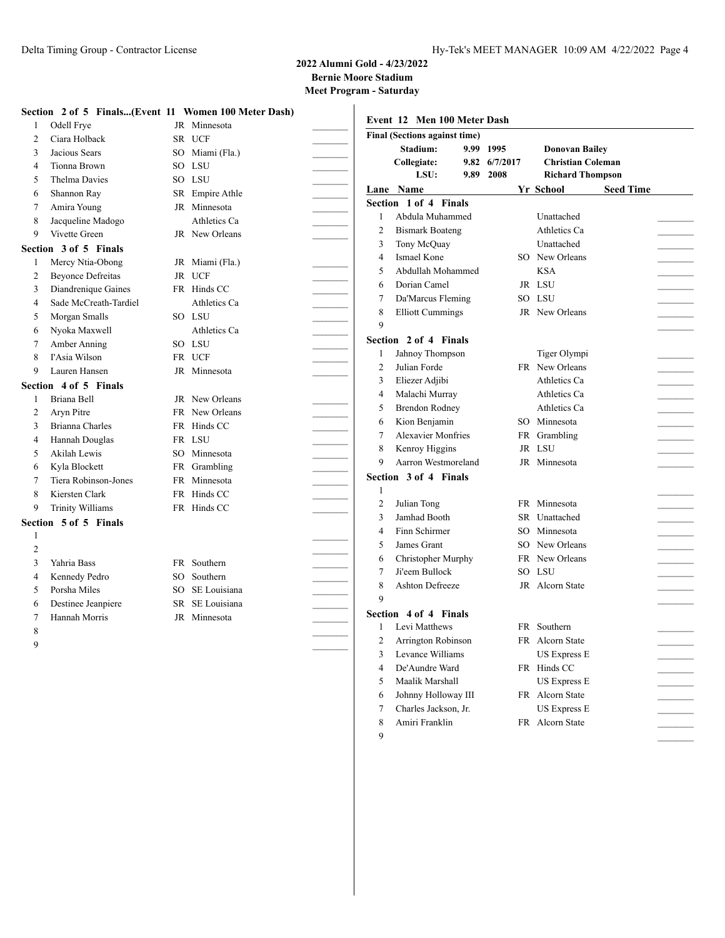**Meet Program - Saturday**

|                | Section 2 of 5 Finals(Event 11 Women 100 Meter Dash) |           |                 |                | Event 12 Men 100 Meter Dash               |               |                                                   |                  |
|----------------|------------------------------------------------------|-----------|-----------------|----------------|-------------------------------------------|---------------|---------------------------------------------------|------------------|
|                | Odell Frye                                           |           | JR Minnesota    |                |                                           |               |                                                   |                  |
| $\overline{c}$ | Ciara Holback                                        |           | SR UCF          |                | Final (Sections against time)<br>Stadium: | 9.99 1995     |                                                   |                  |
| 3              | Jacious Sears                                        |           | SO Miami (Fla.) |                | Collegiate:                               | 9.82 6/7/2017 | <b>Donovan Bailey</b><br><b>Christian Coleman</b> |                  |
| 4              | Tionna Brown                                         | SO        | LSU             |                | LSU:                                      | 9.89 2008     | <b>Richard Thompson</b>                           |                  |
| 5              | <b>Thelma Davies</b>                                 | SO        | LSU             |                | Lane Name                                 |               | Yr School                                         | <b>Seed Time</b> |
| 6              | Shannon Ray                                          | SR        | Empire Athle    |                | Section 1 of 4 Finals                     |               |                                                   |                  |
|                | Amira Young                                          |           | JR Minnesota    |                | Abdula Muhammed                           |               | Unattached                                        |                  |
| 8              | Jacqueline Madogo                                    |           | Athletics Ca    |                | <b>Bismark Boateng</b>                    |               | Athletics Ca                                      |                  |
| 9              | Vivette Green                                        |           | JR New Orleans  | 2<br>3         | Tony McQuay                               |               | Unattached                                        |                  |
|                | Section 3 of 5 Finals                                |           |                 |                | Ismael Kone                               |               | SO New Orleans                                    |                  |
| 1              | Mercy Ntia-Obong                                     |           | JR Miami (Fla.) | 4              |                                           |               |                                                   |                  |
| 2              | <b>Beyonce Defreitas</b>                             | <b>JR</b> | <b>UCF</b>      | 5              | Abdullah Mohammed                         |               | <b>KSA</b>                                        |                  |
| 3              | Diandrenique Gaines                                  |           | FR Hinds CC     | 6              | Dorian Camel                              |               | JR LSU                                            |                  |
| 4              | Sade McCreath-Tardiel                                |           | Athletics Ca    | 7              | Da'Marcus Fleming                         |               | SO LSU                                            |                  |
| 5              | Morgan Smalls                                        |           | SO LSU          | 8              | <b>Elliott Cummings</b>                   |               | JR New Orleans                                    |                  |
| 6              | Nyoka Maxwell                                        |           | Athletics Ca    | 9              |                                           |               |                                                   |                  |
|                | Amber Anning                                         | SO        | LSU             |                | Section 2 of 4 Finals                     |               |                                                   |                  |
| 8              | l'Asia Wilson                                        | FR        | <b>UCF</b>      | 1              | Jahnoy Thompson                           |               | Tiger Olympi                                      |                  |
| 9              | Lauren Hansen                                        |           | JR Minnesota    | $\overline{2}$ | Julian Forde                              |               | FR New Orleans                                    |                  |
|                | Section 4 of 5 Finals                                |           |                 | 3              | Eliezer Adjibi                            |               | Athletics Ca                                      |                  |
|                | Briana Bell                                          |           | JR New Orleans  | 4              | Malachi Murray                            |               | Athletics Ca                                      |                  |
| 2              | Aryn Pitre                                           |           | FR New Orleans  | 5              | <b>Brendon Rodney</b>                     |               | Athletics Ca                                      |                  |
| 3              | Brianna Charles                                      |           | FR Hinds CC     | 6              | Kion Benjamin                             |               | SO Minnesota                                      |                  |
| 4              | Hannah Douglas                                       | FR        | LSU             | 7              | <b>Alexavier Monfries</b>                 |               | Grambling<br>FR                                   |                  |
| 5              | Akilah Lewis                                         | SO.       | Minnesota       | 8              | Kenroy Higgins                            |               | JR LSU                                            |                  |
| 6              | Kyla Blockett                                        | FR        | Grambling       | 9              | Aarron Westmoreland                       |               | JR Minnesota                                      |                  |
|                | Tiera Robinson-Jones                                 |           | FR Minnesota    |                | Section 3 of 4 Finals                     |               |                                                   |                  |
| 8              | Kiersten Clark                                       |           | FR Hinds CC     | $\mathbf{1}$   |                                           |               |                                                   |                  |
| 9              | <b>Trinity Williams</b>                              |           | FR Hinds CC     | 2              | Julian Tong                               |               | FR Minnesota                                      |                  |
|                | Section 5 of 5 Finals                                |           |                 | 3              | Jamhad Booth                              |               | <b>SR</b><br>Unattached                           |                  |
| -1             |                                                      |           |                 | 4              | Finn Schirmer                             |               | Minnesota<br>SO                                   |                  |
| $\overline{c}$ |                                                      |           |                 | 5              | James Grant                               |               | New Orleans<br>SO.                                |                  |
| 3              | Yahria Bass                                          |           | FR Southern     | 6              | Christopher Murphy                        |               | FR New Orleans                                    |                  |
| 4              | Kennedy Pedro                                        | SO        | Southern        | 7              | Ji'eem Bullock                            |               | SO LSU                                            |                  |
| 5              | Porsha Miles                                         | SO        | SE Louisiana    | 8              | Ashton Defreeze                           |               | JR Alcorn State                                   |                  |
| 6              | Destinee Jeanpiere                                   | SR        | SE Louisiana    | 9              |                                           |               |                                                   |                  |
| 7              | Hannah Morris                                        |           | JR Minnesota    |                | Section 4 of 4 Finals                     |               |                                                   |                  |
|                |                                                      |           |                 |                | Levi Matthews                             |               | FR Southern                                       |                  |
|                |                                                      |           |                 | $\overline{c}$ | Arrington Robinson                        |               | FR Alcorn State                                   |                  |
| 9              |                                                      |           |                 | 3              | Levance Williams                          |               | <b>US Express E</b>                               |                  |
|                |                                                      |           |                 | 4              | De'Aundre Ward                            |               | FR Hinds CC                                       |                  |
|                |                                                      |           |                 | 5              | Maalik Marshall                           |               | <b>US Express E</b>                               |                  |
|                |                                                      |           |                 | 6              | Johnny Holloway III                       |               | FR Alcorn State                                   |                  |
|                |                                                      |           |                 | 7              | Charles Jackson, Jr.                      |               | <b>US Express E</b>                               |                  |
|                |                                                      |           |                 | 8              | Amiri Franklin                            |               | FR Alcorn State                                   |                  |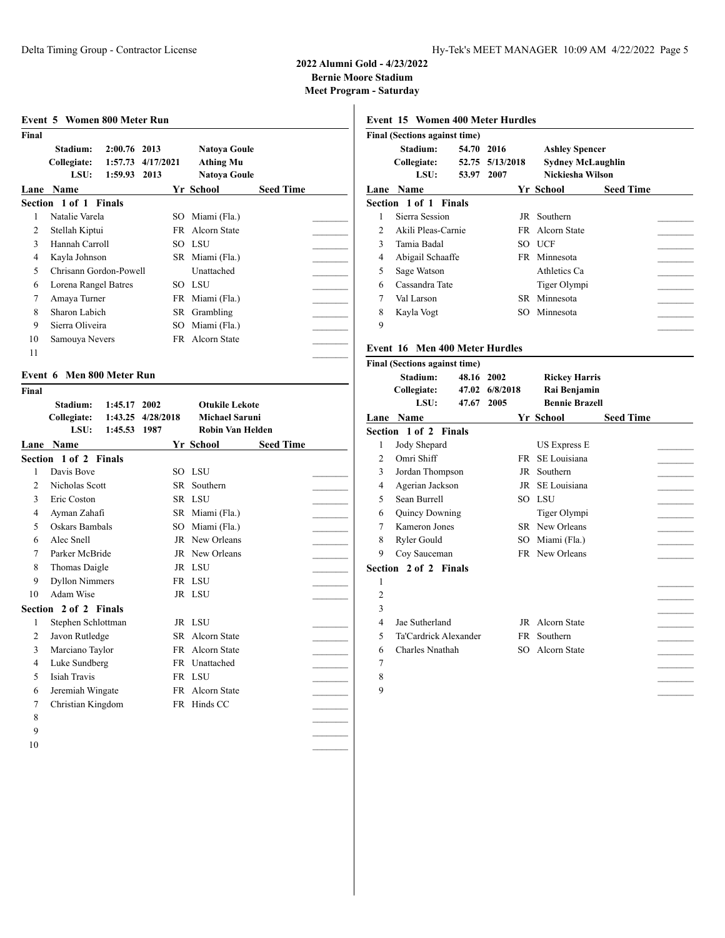**Meet Program - Saturday**

| Stadium:<br>Collegiate:<br>LSU:<br>Name<br>Lane<br>Section 1 of 1 Finals<br>Natalie Varela<br>1<br>2<br>Stellah Kiptui<br>Hannah Carroll<br>$\mathcal{F}$<br>4<br>Kayla Johnson<br>5<br>Chrisann Gordon-Powell | $2:00.76$ 2013<br>1:57.73<br>4/17/2021<br>1:59.93<br>2013 | SO.<br>SO. | Natoya Goule<br><b>Athing Mu</b><br><b>Natoya Goule</b><br>Yr School<br>Miami (Fla.)<br><b>FR</b> Alcorn State<br>- LSU | <b>Seed Time</b> |
|----------------------------------------------------------------------------------------------------------------------------------------------------------------------------------------------------------------|-----------------------------------------------------------|------------|-------------------------------------------------------------------------------------------------------------------------|------------------|
|                                                                                                                                                                                                                |                                                           |            |                                                                                                                         |                  |
|                                                                                                                                                                                                                |                                                           |            |                                                                                                                         |                  |
|                                                                                                                                                                                                                |                                                           |            |                                                                                                                         |                  |
|                                                                                                                                                                                                                |                                                           |            |                                                                                                                         |                  |
|                                                                                                                                                                                                                |                                                           |            |                                                                                                                         |                  |
|                                                                                                                                                                                                                |                                                           |            |                                                                                                                         |                  |
|                                                                                                                                                                                                                |                                                           |            |                                                                                                                         |                  |
|                                                                                                                                                                                                                |                                                           |            |                                                                                                                         |                  |
|                                                                                                                                                                                                                |                                                           |            | SR Miami (Fla.)                                                                                                         |                  |
|                                                                                                                                                                                                                |                                                           |            | Unattached                                                                                                              |                  |
| 6<br>Lorena Rangel Batres                                                                                                                                                                                      |                                                           | SO.        | LSU                                                                                                                     |                  |
| 7<br>Amaya Turner                                                                                                                                                                                              |                                                           | FR.        | Miami (Fla.)                                                                                                            |                  |
| 8<br>Sharon Labich                                                                                                                                                                                             |                                                           | SR         | Grambling                                                                                                               |                  |
| 9<br>Sierra Oliveira                                                                                                                                                                                           |                                                           | SО         | Miami (Fla.)                                                                                                            |                  |
| 10<br>Samouya Nevers                                                                                                                                                                                           |                                                           |            | FR Alcorn State                                                                                                         |                  |

### **Event 6 Men 800 Meter Run**

| Final          |                       |         |           |                         |                  |  |
|----------------|-----------------------|---------|-----------|-------------------------|------------------|--|
|                | Stadium:              | 1:45.17 | 2002      | <b>Otukile Lekote</b>   |                  |  |
|                | Collegiate:           | 1:43.25 | 4/28/2018 | <b>Michael Saruni</b>   |                  |  |
|                | LSU:                  | 1:45.53 | 1987      | <b>Robin Van Helden</b> |                  |  |
| Lane           | <b>Name</b>           |         |           | Yr School               | <b>Seed Time</b> |  |
|                | Section 1 of 2 Finals |         |           |                         |                  |  |
| 1              | Davis Bove            |         |           | SO LSU                  |                  |  |
| $\mathfrak{D}$ | Nicholas Scott        |         |           | SR Southern             |                  |  |
| 3              | Eric Coston           |         |           | SR LSU                  |                  |  |
| 4              | Ayman Zahafi          |         |           | SR Miami (Fla.)         |                  |  |
| 5              | Oskars Bambals        |         | SO.       | Miami (Fla.)            |                  |  |
| 6              | Alec Snell            |         |           | JR New Orleans          |                  |  |
| 7              | Parker McBride        |         |           | JR New Orleans          |                  |  |
| 8              | Thomas Daigle         |         |           | JR LSU                  |                  |  |
| 9              | <b>Dyllon Nimmers</b> |         |           | FR LSU                  |                  |  |
| 10             | Adam Wise             |         |           | JR LSU                  |                  |  |
|                | Section 2 of 2 Finals |         |           |                         |                  |  |
| 1              | Stephen Schlottman    |         |           | JR LSU                  |                  |  |
| 2              | Javon Rutledge        |         |           | SR Alcorn State         |                  |  |
| 3              | Marciano Taylor       |         | FR.       | Alcorn State            |                  |  |
| 4              | Luke Sundberg         |         |           | FR Unattached           |                  |  |
| 5              | <b>Isiah Travis</b>   |         |           | FR LSU                  |                  |  |
| 6              | Jeremiah Wingate      |         |           | FR Alcorn State         |                  |  |
| 7              | Christian Kingdom     |         |           | FR Hinds CC             |                  |  |
| 8              |                       |         |           |                         |                  |  |
| 9              |                       |         |           |                         |                  |  |

#### 

#### **Event 15 Women 400 Meter Hurdles**

|                | Final (Sections against time) |            |                 |                          |                  |  |
|----------------|-------------------------------|------------|-----------------|--------------------------|------------------|--|
|                | Stadium:                      | 54.70 2016 |                 | <b>Ashley Spencer</b>    |                  |  |
|                | Collegiate:                   |            | 52.75 5/13/2018 | <b>Sydney McLaughlin</b> |                  |  |
|                | LSU:                          | 53.97      | 2007            | Nickiesha Wilson         |                  |  |
|                | Lane Name                     |            |                 | Yr School                | <b>Seed Time</b> |  |
|                | Section 1 of 1 Finals         |            |                 |                          |                  |  |
| 1              | Sierra Session                |            | JR              | Southern                 |                  |  |
| $\mathfrak{D}$ | Akili Pleas-Carnie            |            |                 | FR Alcorn State          |                  |  |
| 3              | Tamia Badal                   |            |                 | SO UCF                   |                  |  |
| 4              | Abigail Schaaffe              |            |                 | FR Minnesota             |                  |  |
| 5              | Sage Watson                   |            |                 | Athletics Ca             |                  |  |
| 6              | Cassandra Tate                |            |                 | Tiger Olympi             |                  |  |
| 7              | Val Larson                    |            |                 | SR Minnesota             |                  |  |
| 8              | Kayla Vogt                    |            |                 | SO Minnesota             |                  |  |
| 9              |                               |            |                 |                          |                  |  |

# **Event 16 Men 400 Meter Hurdles**

|                | <b>Final (Sections against time)</b> |       |                |                       |                  |  |
|----------------|--------------------------------------|-------|----------------|-----------------------|------------------|--|
|                | Stadium:                             |       | 48.16 2002     | <b>Rickey Harris</b>  |                  |  |
|                | Collegiate:                          |       | 47.02 6/8/2018 | Rai Benjamin          |                  |  |
|                | LSU:                                 | 47.67 | 2005           | <b>Bennie Brazell</b> |                  |  |
|                | <b>Lane Name</b>                     |       |                | Yr School             | <b>Seed Time</b> |  |
|                | <b>Section 1 of 2 Finals</b>         |       |                |                       |                  |  |
| 1              | Jody Shepard                         |       |                | <b>US Express E</b>   |                  |  |
| 2              | Omri Shiff                           |       | FR.            | SE Louisiana          |                  |  |
| 3              | Jordan Thompson                      |       |                | JR Southern           |                  |  |
| 4              | Agerian Jackson                      |       |                | JR SE Louisiana       |                  |  |
| 5              | Sean Burrell                         |       |                | SO LSU                |                  |  |
| 6              | Quincy Downing                       |       |                | Tiger Olympi          |                  |  |
| 7              | Kameron Jones                        |       |                | SR New Orleans        |                  |  |
| 8              | Ryler Gould                          |       | SO             | Miami (Fla.)          |                  |  |
| 9              | Coy Sauceman                         |       |                | FR New Orleans        |                  |  |
|                | Section 2 of 2 Finals                |       |                |                       |                  |  |
| 1              |                                      |       |                |                       |                  |  |
| $\overline{2}$ |                                      |       |                |                       |                  |  |
| 3              |                                      |       |                |                       |                  |  |
| 4              | Jae Sutherland                       |       |                | JR Alcorn State       |                  |  |
| 5              | Ta'Cardrick Alexander                |       |                | FR Southern           |                  |  |
| 6              | Charles Nnathah                      |       |                | SO Alcorn State       |                  |  |
| 7              |                                      |       |                |                       |                  |  |
| 8              |                                      |       |                |                       |                  |  |
| 9              |                                      |       |                |                       |                  |  |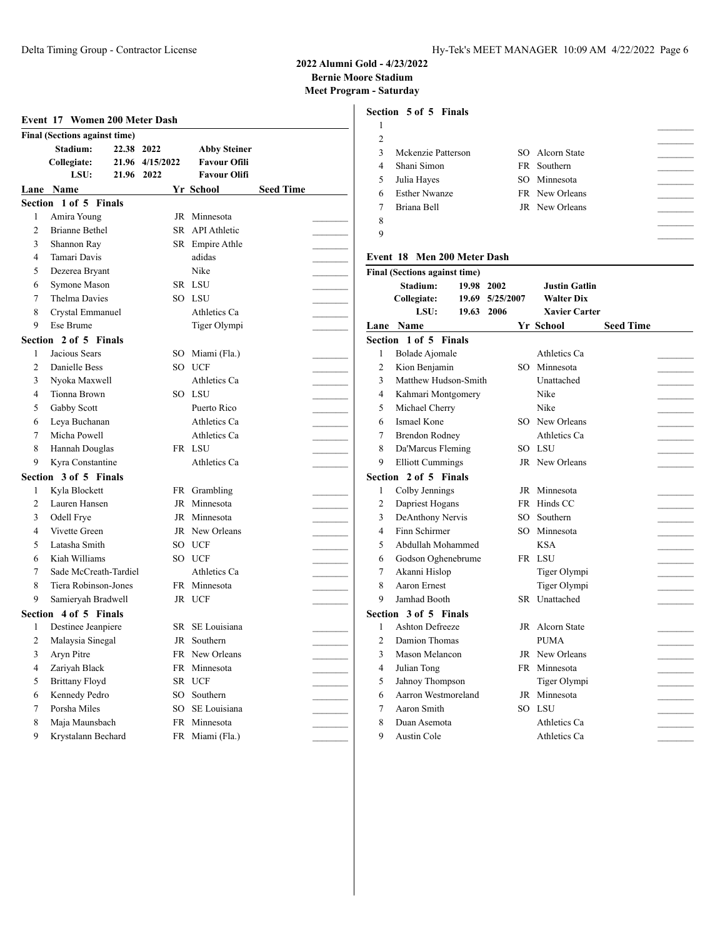# **2022 Alumni Gold - 4/23/2022 Bernie Moore Stadium Meet Program - Saturday**

|                         | Event 17 Women 200 Meter Dash        |            |                 |                     |                  |                     | Section 5 of 5 Finals                |                |
|-------------------------|--------------------------------------|------------|-----------------|---------------------|------------------|---------------------|--------------------------------------|----------------|
|                         | <b>Final (Sections against time)</b> |            |                 |                     |                  | $\mathbf{1}$        |                                      |                |
|                         | Stadium:                             | 22.38 2022 |                 | <b>Abby Steiner</b> |                  | $\overline{2}$      |                                      |                |
|                         | Collegiate:                          |            | 21.96 4/15/2022 | <b>Favour Ofili</b> |                  | 3<br>$\overline{4}$ | Mckenzie Patterson                   |                |
|                         | LSU:                                 | 21.96 2022 |                 | <b>Favour Olifi</b> |                  |                     | Shani Simon                          |                |
|                         | Lane Name                            |            |                 | Yr School           | <b>Seed Time</b> | 5                   | Julia Hayes                          |                |
|                         | Section 1 of 5 Finals                |            |                 |                     |                  | 6<br>$\overline{7}$ | <b>Esther Nwanze</b><br>Briana Bell  |                |
| 1                       | Amira Young                          |            |                 | JR Minnesota        |                  | 8                   |                                      |                |
| $\overline{2}$          | <b>Brianne Bethel</b>                |            |                 | SR API Athletic     |                  | 9                   |                                      |                |
| 3                       | Shannon Ray                          |            |                 | SR Empire Athle     |                  |                     |                                      |                |
| 4                       | Tamari Davis                         |            |                 | adidas              |                  |                     | Event 18 Men 200 Meter Dash          |                |
| 5                       | Dezerea Bryant                       |            |                 | Nike                |                  |                     | <b>Final (Sections against time)</b> |                |
| 6                       | Symone Mason                         |            |                 | SR LSU              |                  |                     | Stadium:                             | 19.98 2002     |
| 7                       | <b>Thelma Davies</b>                 |            |                 | SO LSU              |                  |                     | Collegiate:                          | 19.69 5/25/200 |
| 8                       | Crystal Emmanuel                     |            |                 | Athletics Ca        |                  |                     | LSU:                                 | 19.63 2006     |
| 9                       | Ese Brume                            |            |                 | Tiger Olympi        |                  |                     | Lane Name                            |                |
|                         | Section 2 of 5 Finals                |            |                 |                     |                  |                     | Section 1 of 5 Finals                |                |
| 1                       | Jacious Sears                        |            |                 | SO Miami (Fla.)     |                  | 1                   | Bolade Ajomale                       |                |
| $\overline{c}$          | Danielle Bess                        |            |                 | SO UCF              |                  | $\overline{2}$      | Kion Benjamin                        |                |
| 3                       | Nyoka Maxwell                        |            |                 | Athletics Ca        |                  | 3                   | Matthew Hudson-Smith                 |                |
| 4                       | Tionna Brown                         |            |                 | SO LSU              |                  | 4                   | Kahmari Montgomery                   |                |
| 5                       | Gabby Scott                          |            |                 | Puerto Rico         |                  | 5                   | Michael Cherry                       |                |
| 6                       | Leya Buchanan                        |            |                 | Athletics Ca        |                  | 6                   | Ismael Kone                          |                |
| 7                       | Micha Powell                         |            |                 | Athletics Ca        |                  | 7                   | <b>Brendon Rodney</b>                |                |
| 8                       | Hannah Douglas                       |            |                 | FR LSU              |                  | 8                   | Da'Marcus Fleming                    |                |
| 9                       | Kyra Constantine                     |            |                 | Athletics Ca        |                  | 9                   | <b>Elliott Cummings</b>              |                |
|                         | Section 3 of 5 Finals                |            |                 |                     |                  |                     | Section 2 of 5 Finals                |                |
| 1                       | Kyla Blockett                        |            |                 | FR Grambling        |                  | 1                   | Colby Jennings                       |                |
| $\overline{c}$          | Lauren Hansen                        |            |                 | JR Minnesota        |                  | 2                   | Dapriest Hogans                      |                |
| 3                       | Odell Frye                           |            |                 | JR Minnesota        |                  | 3                   | DeAnthony Nervis                     |                |
| 4                       | Vivette Green                        |            |                 | JR New Orleans      |                  | 4                   | Finn Schirmer                        |                |
| 5                       | Latasha Smith                        |            |                 | SO UCF              |                  | 5                   | Abdullah Mohammed                    |                |
| 6                       | Kiah Williams                        |            |                 | SO UCF              |                  | 6                   | Godson Oghenebrume                   |                |
| 7                       | Sade McCreath-Tardiel                |            |                 | Athletics Ca        |                  | 7                   | Akanni Hislop                        |                |
| 8                       | Tiera Robinson-Jones                 |            |                 | FR Minnesota        |                  | 8                   | <b>Aaron Ernest</b>                  |                |
| 9                       | Samieryah Bradwell                   |            |                 | JR UCF              |                  | 9                   | Jamhad Booth                         |                |
|                         | Section 4 of 5 Finals                |            |                 |                     |                  |                     | Section 3 of 5 Finals                |                |
| 1                       | Destinee Jeanpiere                   |            |                 | SR SE Louisiana     |                  | 1                   | <b>Ashton Defreeze</b>               |                |
| $\overline{\mathbf{c}}$ | Malaysia Sinegal                     |            |                 | JR Southern         |                  | $\mathbf{2}$        | Damion Thomas                        |                |
| 3                       | Aryn Pitre                           |            |                 | FR New Orleans      |                  | 3                   | Mason Melancon                       |                |
| 4                       | Zariyah Black                        |            |                 | FR Minnesota        |                  | 4                   | Julian Tong                          |                |
| 5                       | <b>Brittany Floyd</b>                |            |                 | SR UCF              |                  | 5                   | Jahnoy Thompson                      |                |
| 6                       | Kennedy Pedro                        |            | SO              | Southern            |                  | 6                   | Aarron Westmoreland                  |                |
| 7                       | Porsha Miles                         |            |                 | SO SE Louisiana     |                  | 7                   | Aaron Smith                          |                |
| 8                       | Maja Maunsbach                       |            |                 | FR Minnesota        |                  | 8                   | Duan Asemota                         |                |
| 9                       | Krystalann Bechard                   |            |                 | FR Miami (Fla.)     |                  | 9                   | Austin Cole                          |                |

|        | сион эогэ гшав     |                 |  |
|--------|--------------------|-----------------|--|
| 1      |                    |                 |  |
| 2      |                    |                 |  |
| 3      | Mckenzie Patterson | SO Alcorn State |  |
| 4      | Shani Simon        | FR Southern     |  |
| 5      | Julia Hayes        | SO Minnesota    |  |
|        | 6 Esther Nwanze    | FR New Orleans  |  |
| $\tau$ | Briana Bell        | JR New Orleans  |  |
| 8      |                    |                 |  |
| 9      |                    |                 |  |

|                | Final (Sections against time) |            |                 |                      |                  |  |
|----------------|-------------------------------|------------|-----------------|----------------------|------------------|--|
|                | Stadium:                      | 19.98 2002 |                 | <b>Justin Gatlin</b> |                  |  |
|                | Collegiate:                   |            | 19.69 5/25/2007 | <b>Walter Dix</b>    |                  |  |
|                | LSU:                          | 19.63 2006 |                 | <b>Xavier Carter</b> |                  |  |
|                | Lane Name                     |            |                 | Yr School            | <b>Seed Time</b> |  |
|                | Section 1 of 5 Finals         |            |                 |                      |                  |  |
| 1              | Bolade Ajomale                |            |                 | Athletics Ca         |                  |  |
| $\overline{c}$ | Kion Benjamin                 |            |                 | SO Minnesota         |                  |  |
| 3              | Matthew Hudson-Smith          |            |                 | Unattached           |                  |  |
| 4              | Kahmari Montgomery            |            |                 | Nike                 |                  |  |
| 5              | Michael Cherry                |            |                 | Nike                 |                  |  |
| 6              | Ismael Kone                   |            |                 | SO New Orleans       |                  |  |
| 7              | <b>Brendon Rodney</b>         |            |                 | Athletics Ca         |                  |  |
| 8              | Da'Marcus Fleming             |            |                 | SO LSU               |                  |  |
| 9              | <b>Elliott Cummings</b>       |            |                 | JR New Orleans       |                  |  |
|                | Section 2 of 5 Finals         |            |                 |                      |                  |  |
| 1              | Colby Jennings                |            |                 | JR Minnesota         |                  |  |
| $\overline{c}$ | Dapriest Hogans               |            |                 | FR Hinds CC          |                  |  |
| 3              | DeAnthony Nervis              |            | SO              | Southern             |                  |  |
| 4              | Finn Schirmer                 |            |                 | SO Minnesota         |                  |  |
| 5              | Abdullah Mohammed             |            |                 | <b>KSA</b>           |                  |  |
| 6              | Godson Oghenebrume            |            |                 | FR LSU               |                  |  |
| 7              | Akanni Hislop                 |            |                 | Tiger Olympi         |                  |  |
| 8              | Aaron Ernest                  |            |                 | Tiger Olympi         |                  |  |
| 9              | Jamhad Booth                  |            |                 | SR Unattached        |                  |  |
|                | Section 3 of 5 Finals         |            |                 |                      |                  |  |
| 1              | <b>Ashton Defreeze</b>        |            |                 | JR Alcorn State      |                  |  |
| $\overline{2}$ | Damion Thomas                 |            |                 | <b>PUMA</b>          |                  |  |
| 3              | Mason Melancon                |            |                 | JR New Orleans       |                  |  |
| 4              | Julian Tong                   |            |                 | FR Minnesota         |                  |  |
| 5              | Jahnoy Thompson               |            |                 | Tiger Olympi         |                  |  |
| 6              | Aarron Westmoreland           |            |                 | JR Minnesota         |                  |  |
| 7              | Aaron Smith                   |            |                 | SO LSU               |                  |  |
| 8              | Duan Asemota                  |            |                 | Athletics Ca         |                  |  |
| 9              | Austin Cole                   |            |                 | Athletics Ca         |                  |  |
|                |                               |            |                 |                      |                  |  |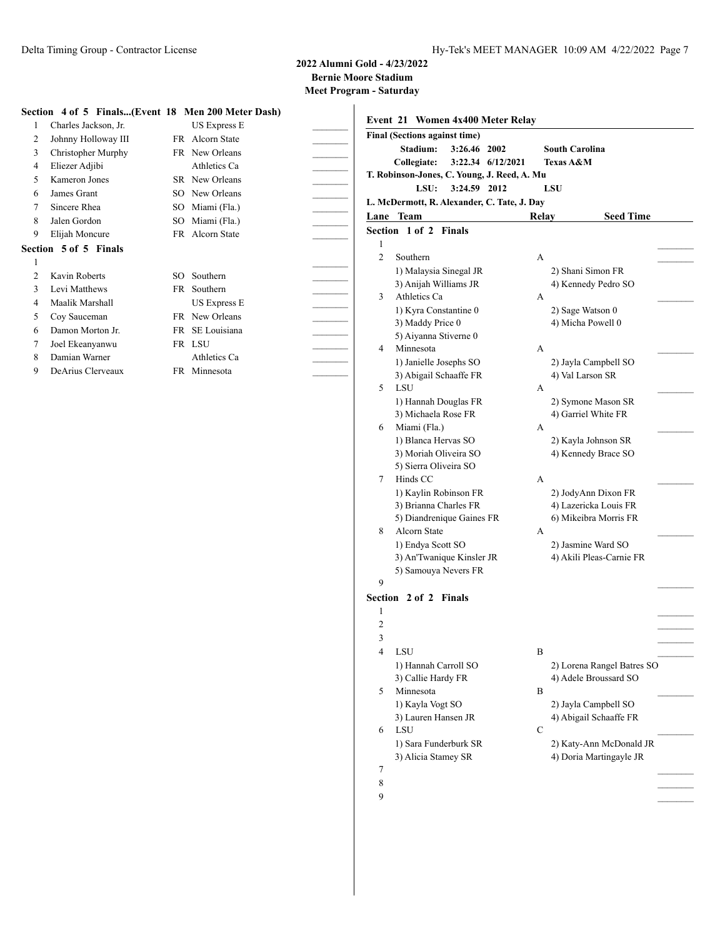**Meet Program - Saturday**

### **Section 4 of 5 Finals...(Event 18 Men 200 Meter Dash)**

|   | $\mathcal{L}$ . The state of $\mathcal{L}$ is the state of $\mathcal{L}$ in $\mathcal{L}$ is the state of $\mathcal{L}$ |     |                |  |
|---|-------------------------------------------------------------------------------------------------------------------------|-----|----------------|--|
| 1 | Charles Jackson, Jr.                                                                                                    |     | US Express E   |  |
| 2 | Johnny Holloway III                                                                                                     | FR. | Alcorn State   |  |
| 3 | Christopher Murphy                                                                                                      |     | FR New Orleans |  |
| 4 | Eliezer Adjibi                                                                                                          |     | Athletics Ca   |  |
| 5 | Kameron Jones                                                                                                           | SR. | New Orleans    |  |
| 6 | James Grant                                                                                                             | SO  | New Orleans    |  |
| 7 | Sincere Rhea                                                                                                            | SO. | Miami (Fla.)   |  |
| 8 | Jalen Gordon                                                                                                            | SO  | Miami (Fla.)   |  |
| 9 | Elijah Moncure                                                                                                          | FR  | Alcorn State   |  |
|   | Section 5 of 5 Finals                                                                                                   |     |                |  |
| 1 |                                                                                                                         |     |                |  |
| 2 | Kavin Roberts                                                                                                           | SO. | Southern       |  |
| 3 | Levi Matthews                                                                                                           | FR. | Southern       |  |
| 4 | Maalik Marshall                                                                                                         |     | US Express E   |  |
| 5 | Coy Sauceman                                                                                                            |     | FR New Orleans |  |
| 6 | Damon Morton Jr.                                                                                                        | FR  | SE Louisiana   |  |
| 7 | Joel Ekeanyanwu                                                                                                         |     | FR LSU         |  |
| 8 | Damian Warner                                                                                                           |     | Athletics Ca   |  |
| 9 | DeArius Clerveaux                                                                                                       |     | FR Minnesota   |  |

|                | <b>Final (Sections against time)</b>              |                       |                                       |
|----------------|---------------------------------------------------|-----------------------|---------------------------------------|
|                | Stadium:<br>3:26.46 2002                          | <b>South Carolina</b> |                                       |
|                | Collegiate:<br>3:22.34 6/12/2021                  | Texas A&M             |                                       |
|                | T. Robinson-Jones, C. Young, J. Reed, A. Mu       |                       |                                       |
|                | LSU:<br>3:24.59 2012                              | <b>LSU</b>            |                                       |
|                | L. McDermott, R. Alexander, C. Tate, J. Day       |                       |                                       |
|                | Lane Team                                         | Relay                 | <b>Seed Time</b>                      |
|                | Section 1 of 2 Finals                             |                       |                                       |
| 1              |                                                   |                       |                                       |
| 2              | Southern                                          | А                     |                                       |
|                | 1) Malaysia Sinegal JR                            |                       | 2) Shani Simon FR                     |
| 3              | 3) Anijah Williams JR<br>Athletics Ca             | А                     | 4) Kennedy Pedro SO                   |
|                |                                                   |                       |                                       |
|                | 1) Kyra Constantine 0<br>3) Maddy Price 0         |                       | 2) Sage Watson 0<br>4) Micha Powell 0 |
|                | 5) Aiyanna Stiverne 0                             |                       |                                       |
| 4              | Minnesota                                         | А                     |                                       |
|                | 1) Janielle Josephs SO                            |                       | 2) Jayla Campbell SO                  |
|                | 3) Abigail Schaaffe FR                            |                       | 4) Val Larson SR                      |
| 5              | LSU                                               | A                     |                                       |
|                | 1) Hannah Douglas FR                              |                       | 2) Symone Mason SR                    |
|                | 3) Michaela Rose FR                               |                       | 4) Garriel White FR                   |
| 6              | Miami (Fla.)                                      | A                     |                                       |
|                | 1) Blanca Hervas SO                               |                       | 2) Kayla Johnson SR                   |
|                | 3) Moriah Oliveira SO                             |                       | 4) Kennedy Brace SO                   |
|                | 5) Sierra Oliveira SO                             |                       |                                       |
| 7              | Hinds CC                                          | А                     |                                       |
|                | 1) Kaylin Robinson FR                             |                       | 2) JodyAnn Dixon FR                   |
|                | 3) Brianna Charles FR                             |                       | 4) Lazericka Louis FR                 |
|                | 5) Diandrenique Gaines FR                         |                       | 6) Mikeibra Morris FR                 |
| 8              | Alcorn State                                      | A                     |                                       |
|                | 1) Endya Scott SO                                 |                       | 2) Jasmine Ward SO                    |
|                | 3) An'Twanique Kinsler JR<br>5) Samouya Nevers FR |                       | 4) Akili Pleas-Carnie FR              |
| 9              |                                                   |                       |                                       |
|                | Section 2 of 2 Finals                             |                       |                                       |
| 1              |                                                   |                       |                                       |
| $\overline{2}$ |                                                   |                       |                                       |
| 3              |                                                   |                       |                                       |
| 4              | LSU                                               | B                     |                                       |
|                | 1) Hannah Carroll SO                              |                       | 2) Lorena Rangel Batres SO            |
|                | 3) Callie Hardy FR                                |                       | 4) Adele Broussard SO                 |
| 5              | Minnesota                                         | B                     |                                       |
|                | 1) Kayla Vogt SO                                  |                       | 2) Jayla Campbell SO                  |
|                | 3) Lauren Hansen JR                               |                       | 4) Abigail Schaaffe FR                |
| 6              | LSU                                               | С                     |                                       |
|                | 1) Sara Funderburk SR                             |                       | 2) Katy-Ann McDonald JR               |
|                | 3) Alicia Stamey SR                               |                       | 4) Doria Martingayle JR               |
| 7              |                                                   |                       |                                       |
| 8              |                                                   |                       |                                       |
|                |                                                   |                       |                                       |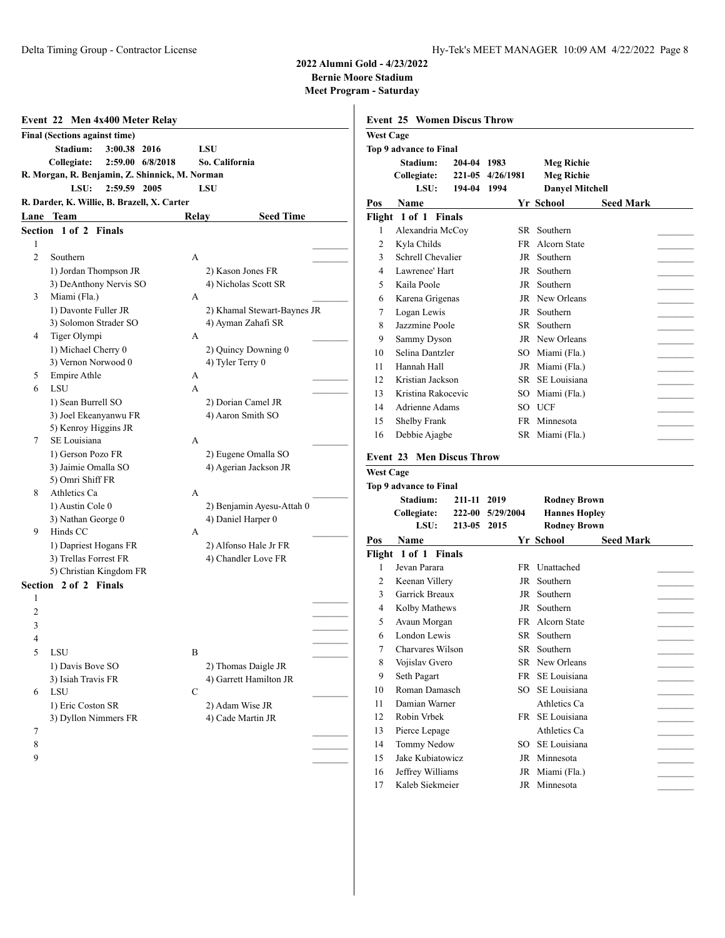|                | Event 22 Men 4x400 Meter Relay                 |                             |                  | <b>Event 25 Women Discus Throw</b> |             |                  |                |
|----------------|------------------------------------------------|-----------------------------|------------------|------------------------------------|-------------|------------------|----------------|
|                | <b>Final (Sections against time)</b>           |                             | <b>West Cage</b> |                                    |             |                  |                |
|                | Stadium:<br>3:00.38 2016                       | <b>LSU</b>                  |                  | Top 9 advance to Final             |             |                  |                |
|                | Collegiate:<br>2:59.00 6/8/2018                | So. California              |                  | Stadium:                           | 204-04 1983 |                  | <b>Meg Ric</b> |
|                | R. Morgan, R. Benjamin, Z. Shinnick, M. Norman |                             |                  | Collegiate:                        |             | 221-05 4/26/1981 | <b>Meg Ric</b> |
|                | LSU:<br>2:59.59 2005                           | <b>LSU</b>                  |                  | LSU:                               | 194-04 1994 |                  | Danyel N       |
|                | R. Darder, K. Willie, B. Brazell, X. Carter    |                             | Pos              | Name                               |             |                  | Yr School      |
|                | Lane Team                                      | <b>Seed Time</b><br>Relay   |                  | Flight 1 of 1 Finals               |             |                  |                |
|                | Section 1 of 2 Finals                          |                             | 1                | Alexandria McCoy                   |             |                  | SR Southern    |
| 1              |                                                |                             | $\overline{2}$   | Kyla Childs                        |             |                  | FR Alcorn Sta  |
| $\mathfrak{2}$ | Southern                                       | А                           | 3                | Schrell Chevalier                  |             |                  | JR Southern    |
|                | 1) Jordan Thompson JR                          | 2) Kason Jones FR           | $\overline{4}$   | Lawrenee' Hart                     |             |                  | JR Southern    |
|                | 3) DeAnthony Nervis SO                         | 4) Nicholas Scott SR        | 5                | Kaila Poole                        |             |                  | JR Southern    |
| 3              | Miami (Fla.)                                   | А                           | 6                | Karena Grigenas                    |             |                  | JR New Orlea   |
|                | 1) Davonte Fuller JR                           | 2) Khamal Stewart-Baynes JR | 7                | Logan Lewis                        |             |                  | JR Southern    |
|                | 3) Solomon Strader SO                          | 4) Ayman Zahafi SR          | 8                | Jazzmine Poole                     |             |                  | SR Southern    |
| 4              | Tiger Olympi                                   | А                           |                  |                                    |             |                  |                |
|                | 1) Michael Cherry 0                            | 2) Quincy Downing 0         | 9                | Sammy Dyson                        |             |                  | JR New Orlea   |
|                | 3) Vernon Norwood 0                            | 4) Tyler Terry 0            | 10               | Selina Dantzler                    |             |                  | SO Miami (Fla  |
| 5              | Empire Athle                                   | А                           | 11               | Hannah Hall                        |             |                  | JR Miami (Fla  |
| 6              | LSU                                            | А                           | 12               | Kristian Jackson                   |             |                  | SR SE Louisia  |
|                | 1) Sean Burrell SO                             | 2) Dorian Camel JR          | 13               | Kristina Rakocevic                 |             |                  | SO Miami (Fla  |
|                | 3) Joel Ekeanyanwu FR                          | 4) Aaron Smith SO           | 14               | Adrienne Adams                     |             |                  | SO UCF         |
|                | 5) Kenroy Higgins JR                           |                             | 15               | Shelby Frank                       |             |                  | FR Minnesota   |
| 7              | SE Louisiana                                   | А                           | 16               | Debbie Ajagbe                      |             |                  | SR Miami (Fla  |
|                | 1) Gerson Pozo FR                              | 2) Eugene Omalla SO         |                  |                                    |             |                  |                |
|                | 3) Jaimie Omalla SO                            | 4) Agerian Jackson JR       |                  | <b>Event 23 Men Discus Throw</b>   |             |                  |                |
|                | 5) Omri Shiff FR                               |                             | <b>West Cage</b> |                                    |             |                  |                |
| 8              | Athletics Ca                                   | A                           |                  | <b>Top 9 advance to Final</b>      |             |                  |                |
|                | 1) Austin Cole 0                               | 2) Benjamin Ayesu-Attah 0   |                  | Stadium:                           | 211-11 2019 |                  | Rodney         |
|                | 3) Nathan George 0                             | 4) Daniel Harper 0          |                  | Collegiate:                        |             | 222-00 5/29/2004 | Hannes 1       |
| 9              | Hinds CC                                       | A                           |                  | LSU:                               | 213-05 2015 |                  | Rodney 1       |
|                | 1) Dapriest Hogans FR                          | 2) Alfonso Hale Jr FR       | Pos              | Name                               |             |                  | Yr School      |
|                | 3) Trellas Forrest FR                          | 4) Chandler Love FR         |                  | Flight 1 of 1 Finals               |             |                  |                |
|                | 5) Christian Kingdom FR                        |                             | 1                | Jevan Parara                       |             |                  | FR Unattached  |
|                | Section 2 of 2 Finals                          |                             | $\overline{2}$   | Keenan Villery                     |             |                  | JR Southern    |
| 1              |                                                |                             | 3                | Garrick Breaux                     |             |                  | JR Southern    |
| 2              |                                                |                             | $\overline{4}$   | Kolby Mathews                      |             |                  | JR Southern    |
| 3              |                                                |                             | 5                | Avaun Morgan                       |             |                  | FR Alcorn Sta  |
| 4              |                                                |                             | 6                | London Lewis                       |             |                  | SR Southern    |
|                |                                                |                             | 7                | Charvares Wilson                   |             |                  | SR Southern    |
| 5              | LSU                                            | B                           | 8                | Vojislav Gvero                     |             |                  | SR New Orlea   |
|                | 1) Davis Bove SO                               | 2) Thomas Daigle JR         | 9                | Seth Pagart                        |             |                  | FR SE Louisia  |
|                | 3) Isiah Travis FR                             | 4) Garrett Hamilton JR      | 10               | Roman Damasch                      |             |                  | SO SE Louisia  |
| 6              | LSU                                            | С                           | 11               | Damian Warner                      |             |                  | Athletics C    |
|                | 1) Eric Coston SR                              | 2) Adam Wise JR             |                  |                                    |             |                  |                |
|                | 3) Dyllon Nimmers FR                           | 4) Cade Martin JR           | 12               | Robin Vrbek                        |             |                  | FR SE Louisia  |
| 7              |                                                |                             | 13               | Pierce Lepage                      |             |                  | Athletics C    |
| 8              |                                                |                             | 14               | Tommy Nedow                        |             |                  | SO SE Louisia  |
| 9              |                                                |                             | 15               | Jake Kubiatowicz                   |             |                  | JR Minnesota   |
|                |                                                |                             | 16               | Jeffrey Williams                   |             |                  | JR Miami (Fla  |
|                |                                                |                             | 17               | Kaleb Siekmeier                    |             |                  | JR Minnesota   |

| <b>West Cage</b><br>Top 9 advance to Final<br>Stadium:<br>204-04 1983<br><b>Meg Richie</b><br><b>Meg Richie</b><br>221-05 4/26/1981<br>Collegiate:<br>LSU:<br>194-04<br>1994<br><b>Danyel Mitchell</b><br>Pos<br>Name<br>Yr School<br><b>Seed Mark</b><br>Flight 1 of 1 Finals<br>1<br>Alexandria McCoy<br>Southern<br>SR<br>2<br>Kyla Childs<br>FR<br>Alcorn State<br>Schrell Chevalier<br>3<br>JR Southern<br>Lawrenee' Hart<br>Southern<br>4<br>JR<br>Kaila Poole<br>5<br>JR<br>Southern<br>JR New Orleans<br>6<br>Karena Grigenas |  |
|---------------------------------------------------------------------------------------------------------------------------------------------------------------------------------------------------------------------------------------------------------------------------------------------------------------------------------------------------------------------------------------------------------------------------------------------------------------------------------------------------------------------------------------|--|
|                                                                                                                                                                                                                                                                                                                                                                                                                                                                                                                                       |  |
|                                                                                                                                                                                                                                                                                                                                                                                                                                                                                                                                       |  |
|                                                                                                                                                                                                                                                                                                                                                                                                                                                                                                                                       |  |
|                                                                                                                                                                                                                                                                                                                                                                                                                                                                                                                                       |  |
|                                                                                                                                                                                                                                                                                                                                                                                                                                                                                                                                       |  |
|                                                                                                                                                                                                                                                                                                                                                                                                                                                                                                                                       |  |
|                                                                                                                                                                                                                                                                                                                                                                                                                                                                                                                                       |  |
|                                                                                                                                                                                                                                                                                                                                                                                                                                                                                                                                       |  |
|                                                                                                                                                                                                                                                                                                                                                                                                                                                                                                                                       |  |
|                                                                                                                                                                                                                                                                                                                                                                                                                                                                                                                                       |  |
|                                                                                                                                                                                                                                                                                                                                                                                                                                                                                                                                       |  |
|                                                                                                                                                                                                                                                                                                                                                                                                                                                                                                                                       |  |
|                                                                                                                                                                                                                                                                                                                                                                                                                                                                                                                                       |  |
| 7<br>Logan Lewis<br>JR<br>Southern                                                                                                                                                                                                                                                                                                                                                                                                                                                                                                    |  |
| Jazzmine Poole<br>8<br>SR<br>Southern                                                                                                                                                                                                                                                                                                                                                                                                                                                                                                 |  |
| 9<br>Sammy Dyson<br>JR New Orleans                                                                                                                                                                                                                                                                                                                                                                                                                                                                                                    |  |
| Selina Dantzler<br>10<br>SO Miami (Fla.)                                                                                                                                                                                                                                                                                                                                                                                                                                                                                              |  |
| Hannah Hall<br>11<br>JR Miami (Fla.)                                                                                                                                                                                                                                                                                                                                                                                                                                                                                                  |  |
| Kristian Jackson<br>12<br>SR SE Louisiana                                                                                                                                                                                                                                                                                                                                                                                                                                                                                             |  |
| 13<br>Kristina Rakocevic<br>SO Miami (Fla.)                                                                                                                                                                                                                                                                                                                                                                                                                                                                                           |  |
| Adrienne Adams<br>14<br>SO UCF                                                                                                                                                                                                                                                                                                                                                                                                                                                                                                        |  |
| 15<br>Shelby Frank<br>FR Minnesota                                                                                                                                                                                                                                                                                                                                                                                                                                                                                                    |  |
| 16<br>Debbie Ajagbe<br>SR Miami (Fla.)                                                                                                                                                                                                                                                                                                                                                                                                                                                                                                |  |
|                                                                                                                                                                                                                                                                                                                                                                                                                                                                                                                                       |  |
| <b>Event 23 Men Discus Throw</b>                                                                                                                                                                                                                                                                                                                                                                                                                                                                                                      |  |
| <b>West Cage</b>                                                                                                                                                                                                                                                                                                                                                                                                                                                                                                                      |  |
| Top 9 advance to Final                                                                                                                                                                                                                                                                                                                                                                                                                                                                                                                |  |
| Stadium:<br><b>Rodney Brown</b><br>211-11 2019                                                                                                                                                                                                                                                                                                                                                                                                                                                                                        |  |
| <b>Hannes Hopley</b><br>Collegiate:<br><b>222-00</b><br>5/29/2004                                                                                                                                                                                                                                                                                                                                                                                                                                                                     |  |
| LSU:<br>213-05<br><b>Rodney Brown</b><br>2015                                                                                                                                                                                                                                                                                                                                                                                                                                                                                         |  |
|                                                                                                                                                                                                                                                                                                                                                                                                                                                                                                                                       |  |
| Pos<br>Yr School<br>Name<br><b>Seed Mark</b>                                                                                                                                                                                                                                                                                                                                                                                                                                                                                          |  |
| Flight 1 of 1 Finals                                                                                                                                                                                                                                                                                                                                                                                                                                                                                                                  |  |
| Jevan Parara<br>Unattached<br>1<br>FR.                                                                                                                                                                                                                                                                                                                                                                                                                                                                                                |  |
| 2<br>Keenan Villery<br>JR Southern                                                                                                                                                                                                                                                                                                                                                                                                                                                                                                    |  |
| 3<br>Garrick Breaux<br>JR Southern                                                                                                                                                                                                                                                                                                                                                                                                                                                                                                    |  |
| 4<br>Kolby Mathews<br>JR Southern                                                                                                                                                                                                                                                                                                                                                                                                                                                                                                     |  |
| FR Alcorn State<br>5<br>Avaun Morgan                                                                                                                                                                                                                                                                                                                                                                                                                                                                                                  |  |
| 6<br>London Lewis<br>SR Southern                                                                                                                                                                                                                                                                                                                                                                                                                                                                                                      |  |
| Charvares Wilson<br>SR Southern<br>7                                                                                                                                                                                                                                                                                                                                                                                                                                                                                                  |  |
| 8<br>SR New Orleans<br>Vojislav Gvero                                                                                                                                                                                                                                                                                                                                                                                                                                                                                                 |  |
| FR SE Louisiana<br>9                                                                                                                                                                                                                                                                                                                                                                                                                                                                                                                  |  |
| Seth Pagart<br>Roman Damasch<br>SO SE Louisiana<br>10                                                                                                                                                                                                                                                                                                                                                                                                                                                                                 |  |
| Damian Warner<br>Athletics Ca<br>11                                                                                                                                                                                                                                                                                                                                                                                                                                                                                                   |  |
| Robin Vrbek<br>FR SE Louisiana<br>12                                                                                                                                                                                                                                                                                                                                                                                                                                                                                                  |  |
|                                                                                                                                                                                                                                                                                                                                                                                                                                                                                                                                       |  |
| Pierce Lepage<br>Athletics Ca<br>13                                                                                                                                                                                                                                                                                                                                                                                                                                                                                                   |  |
| Tommy Nedow<br>14<br>SO SE Louisiana<br>Jake Kubiatowicz<br>15<br>JR Minnesota                                                                                                                                                                                                                                                                                                                                                                                                                                                        |  |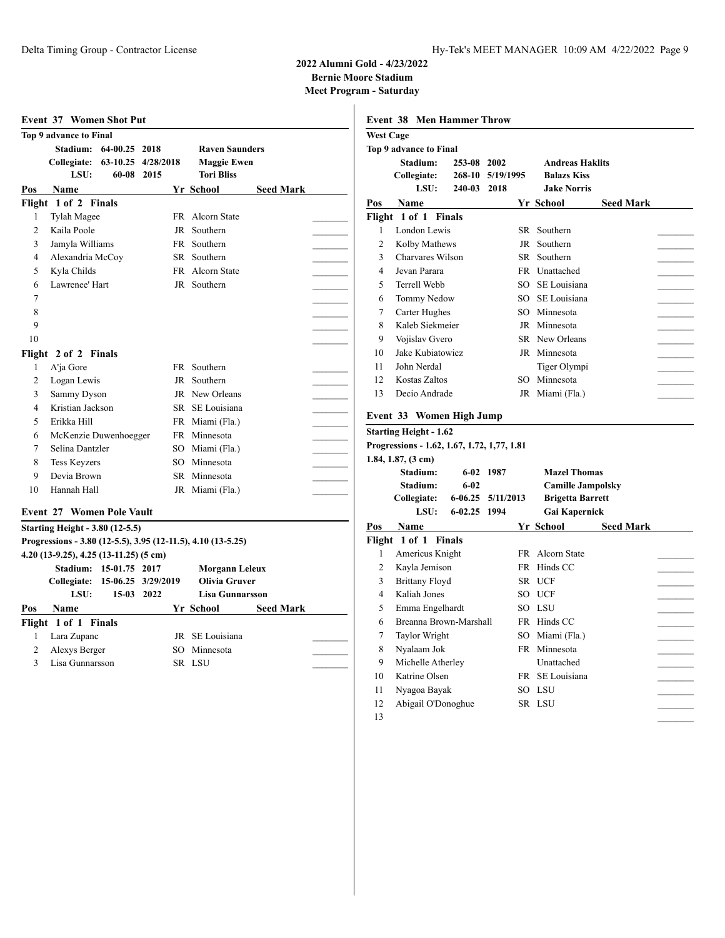|                | <b>Top 9 advance to Final</b>              |                    |      |                                                              |                  |  |
|----------------|--------------------------------------------|--------------------|------|--------------------------------------------------------------|------------------|--|
|                | Stadium: 64-00.25 2018                     |                    |      | <b>Raven Saunders</b>                                        |                  |  |
|                | Collegiate: 63-10.25 4/28/2018             |                    |      | <b>Maggie Ewen</b>                                           |                  |  |
|                | LSU:                                       | 60-08              | 2015 | <b>Tori Bliss</b>                                            |                  |  |
| Pos            | <b>Name</b>                                |                    |      | Yr School                                                    | <b>Seed Mark</b> |  |
|                | Flight 1 of 2 Finals                       |                    |      |                                                              |                  |  |
| 1              | Tylah Magee                                |                    |      | FR Alcorn State                                              |                  |  |
| $\overline{2}$ | Kaila Poole                                |                    |      | JR Southern                                                  |                  |  |
| 3              | Jamyla Williams                            |                    |      | FR Southern                                                  |                  |  |
| 4              | Alexandria McCoy                           |                    |      | SR Southern                                                  |                  |  |
| 5              | Kyla Childs                                |                    |      | FR Alcorn State                                              |                  |  |
| 6              | Lawrenee' Hart                             |                    |      | JR Southern                                                  |                  |  |
| 7              |                                            |                    |      |                                                              |                  |  |
| 8              |                                            |                    |      |                                                              |                  |  |
| 9              |                                            |                    |      |                                                              |                  |  |
| 10             |                                            |                    |      |                                                              |                  |  |
|                | Flight 2 of 2 Finals                       |                    |      |                                                              |                  |  |
| $\mathbf{1}$   | A'ja Gore                                  |                    |      | FR Southern                                                  |                  |  |
| 2              | Logan Lewis                                |                    |      | JR Southern                                                  |                  |  |
| 3              | Sammy Dyson                                |                    |      | JR New Orleans                                               |                  |  |
| $\overline{4}$ | Kristian Jackson                           |                    |      | SR SE Louisiana                                              |                  |  |
| 5              | Erikka Hill                                |                    |      | FR Miami (Fla.)                                              |                  |  |
| 6              | McKenzie Duwenhoegger                      |                    |      | FR Minnesota                                                 |                  |  |
| 7              | Selina Dantzler                            |                    |      | SO Miami (Fla.)                                              |                  |  |
| 8              | <b>Tess Keyzers</b>                        |                    |      | SO Minnesota                                                 |                  |  |
| 9              | Devia Brown                                |                    |      | SR Minnesota                                                 |                  |  |
| 10             | Hannah Hall                                |                    |      | JR Miami (Fla.)                                              |                  |  |
|                |                                            |                    |      |                                                              |                  |  |
|                | <b>Event 27 Women Pole Vault</b>           |                    |      |                                                              |                  |  |
|                | <b>Starting Height - 3.80 (12-5.5)</b>     |                    |      |                                                              |                  |  |
|                |                                            |                    |      | Progressions - 3.80 (12-5.5), 3.95 (12-11.5), 4.10 (13-5.25) |                  |  |
|                | $4.20$ (13-9.25), $4.25$ (13-11.25) (5 cm) |                    |      |                                                              |                  |  |
|                | Stadium: 15-01.75 2017                     |                    |      | Morgann Leleux                                               |                  |  |
|                | Collegiate:                                | 15-06.25 3/29/2019 |      | <b>Olivia Gruver</b>                                         |                  |  |
|                | LSU:                                       | 15-03 2022         |      | <b>Lisa Gunnarsson</b>                                       |                  |  |
| Pos            | <b>Name</b>                                |                    |      | Yr School                                                    | <b>Seed Mark</b> |  |
|                | Flight 1 of 1 Finals                       |                    |      |                                                              |                  |  |
| $\mathbf{1}$   | Lara Zupanc                                |                    |      | JR SE Louisiana                                              |                  |  |
|                | Alexys Berger                              |                    |      | SO Minnesota                                                 |                  |  |
| $\overline{2}$ |                                            |                    |      |                                                              |                  |  |

|                  | <b>Event 38 Men Hammer Throw</b>                                  |             |           |                          |                  |  |
|------------------|-------------------------------------------------------------------|-------------|-----------|--------------------------|------------------|--|
| <b>West Cage</b> |                                                                   |             |           |                          |                  |  |
|                  | Top 9 advance to Final                                            |             |           |                          |                  |  |
|                  | Stadium:                                                          | 253-08 2002 |           | <b>Andreas Haklits</b>   |                  |  |
|                  | Collegiate:                                                       | 268-10      | 5/19/1995 | <b>Balazs Kiss</b>       |                  |  |
|                  | LSU:                                                              | 240-03      | 2018      | <b>Jake Norris</b>       |                  |  |
| Pos              | Name                                                              |             |           | Yr School                | <b>Seed Mark</b> |  |
|                  | Flight 1 of 1 Finals                                              |             |           |                          |                  |  |
| 1                | London Lewis                                                      |             |           | SR Southern              |                  |  |
| $\overline{c}$   | Kolby Mathews                                                     |             |           | JR Southern              |                  |  |
| 3                | Charvares Wilson                                                  |             |           | SR Southern              |                  |  |
| $\overline{4}$   | Jevan Parara                                                      |             |           | FR Unattached            |                  |  |
| 5                | Terrell Webb                                                      |             |           | SO SE Louisiana          |                  |  |
| 6                | Tommy Nedow                                                       |             |           | SO SE Louisiana          |                  |  |
| $\overline{7}$   | Carter Hughes                                                     |             |           | SO Minnesota             |                  |  |
| 8                | Kaleb Siekmeier                                                   |             |           | JR Minnesota             |                  |  |
| 9                | Vojislav Gvero                                                    |             |           | SR New Orleans           |                  |  |
| 10               | Jake Kubiatowicz                                                  |             |           | JR Minnesota             |                  |  |
| 11               | John Nerdal                                                       |             |           | Tiger Olympi             |                  |  |
| 12.              | Kostas Zaltos                                                     |             |           | SO Minnesota             |                  |  |
| 13               | Decio Andrade                                                     |             |           | JR Miami (Fla.)          |                  |  |
|                  |                                                                   |             |           |                          |                  |  |
|                  | Event 33 Women High Jump                                          |             |           |                          |                  |  |
|                  | <b>Starting Height - 1.62</b>                                     |             |           |                          |                  |  |
|                  | Progressions - 1.62, 1.67, 1.72, 1,77, 1.81<br>1.84, 1.87, (3 cm) |             |           |                          |                  |  |
|                  | Stadium:                                                          |             | 6-02 1987 | <b>Mazel Thomas</b>      |                  |  |
|                  | Stadium:                                                          | $6 - 02$    |           | <b>Camille Jampolsky</b> |                  |  |
|                  | Collegiate:                                                       | $6 - 06.25$ | 5/11/2013 | <b>Brigetta Barrett</b>  |                  |  |
|                  | LSU:                                                              | $6 - 02.25$ | 1994      | Gai Kapernick            |                  |  |
| Pos              | Name                                                              |             |           | Yr School                | <b>Seed Mark</b> |  |
|                  | Flight 1 of 1 Finals                                              |             |           |                          |                  |  |
| 1                | Americus Knight                                                   |             |           | FR Alcorn State          |                  |  |
| 2                | Kayla Jemison                                                     |             |           | FR Hinds CC              |                  |  |
| 3                | <b>Brittany Floyd</b>                                             |             |           | SR UCF                   |                  |  |
| 4                | Kaliah Jones                                                      |             |           | SO UCF                   |                  |  |
| 5                | Emma Engelhardt                                                   |             |           | SO LSU                   |                  |  |
| 6                | Breanna Brown-Marshall                                            |             |           | FR Hinds CC              |                  |  |
| $\overline{7}$   | Taylor Wright                                                     |             |           | SO Miami (Fla.)          |                  |  |
| 8                | Nyalaam Jok                                                       |             |           | FR Minnesota             |                  |  |
| 9                | Michelle Atherley                                                 |             |           | Unattached               |                  |  |
| 10               | Katrine Olsen                                                     |             |           | FR SE Louisiana          |                  |  |
|                  |                                                                   |             |           |                          |                  |  |
| 11               |                                                                   |             |           | SO LSU                   |                  |  |
| 12               | Nyagoa Bayak<br>Abigail O'Donoghue                                |             |           | SR LSU                   |                  |  |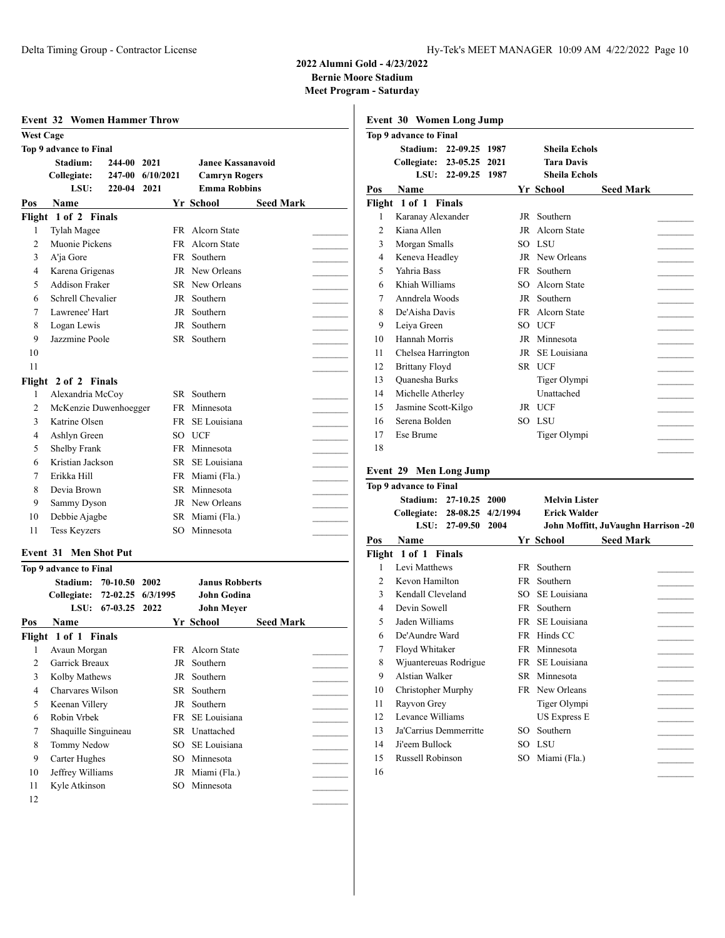**Meet Program - Saturday**

|  | $max110$ gram baturua |  |
|--|-----------------------|--|
|  |                       |  |

|                     | <b>Event 32 Women Hammer Throw</b>       |                  |           |                                             |                  |  |
|---------------------|------------------------------------------|------------------|-----------|---------------------------------------------|------------------|--|
| <b>West Cage</b>    |                                          |                  |           |                                             |                  |  |
|                     | Top 9 advance to Final                   |                  |           |                                             |                  |  |
|                     | Stadium:                                 | 244-00           | 2021      | <b>Janee Kassanavoid</b>                    |                  |  |
|                     | Collegiate:<br>LSU:                      | 247-00<br>220-04 | 6/10/2021 | <b>Camryn Rogers</b><br><b>Emma Robbins</b> |                  |  |
|                     |                                          |                  | 2021      |                                             |                  |  |
| Pos                 | Name                                     |                  |           | Yr School                                   | <b>Seed Mark</b> |  |
|                     | Flight 1 of 2 Finals                     |                  | FR        | Alcorn State                                |                  |  |
| 1<br>$\overline{2}$ | Tylah Magee<br>Muonie Pickens            |                  | FR.       | Alcorn State                                |                  |  |
| 3                   | A'ja Gore                                |                  | FR.       | Southern                                    |                  |  |
| 4                   |                                          |                  |           | JR New Orleans                              |                  |  |
| 5                   | Karena Grigenas<br><b>Addison Fraker</b> |                  | SR.       | New Orleans                                 |                  |  |
| 6                   | Schrell Chevalier                        |                  | JR        | Southern                                    |                  |  |
| 7                   | Lawrenee' Hart                           |                  | JR        | Southern                                    |                  |  |
| 8                   | Logan Lewis                              |                  | JR        | Southern                                    |                  |  |
| 9                   | Jazzmine Poole                           |                  | SR        | Southern                                    |                  |  |
| 10                  |                                          |                  |           |                                             |                  |  |
| 11                  |                                          |                  |           |                                             |                  |  |
|                     | Flight 2 of 2 Finals                     |                  |           |                                             |                  |  |
| 1                   | Alexandria McCoy                         |                  |           | SR Southern                                 |                  |  |
| $\overline{c}$      | McKenzie Duwenhoegger                    |                  | FR        | Minnesota                                   |                  |  |
| 3                   | Katrine Olsen                            |                  | FR.       | SE Louisiana                                |                  |  |
| 4                   | Ashlyn Green                             |                  | SO.       | UCF                                         |                  |  |
| 5                   | Shelby Frank                             |                  | FR.       | Minnesota                                   |                  |  |
| 6                   | Kristian Jackson                         |                  | SR.       | SE Louisiana                                |                  |  |
| 7                   | Erikka Hill                              |                  | FR        | Miami (Fla.)                                |                  |  |
| 8                   | Devia Brown                              |                  | SR        | Minnesota                                   |                  |  |
| 9                   | Sammy Dyson                              |                  | JR        | New Orleans                                 |                  |  |
| 10                  | Debbie Ajagbe                            |                  |           | SR Miami (Fla.)                             |                  |  |
| 11                  | <b>Tess Keyzers</b>                      |                  | SO        | Minnesota                                   |                  |  |
|                     |                                          |                  |           |                                             |                  |  |

#### **Event 31 Men Shot Put**

|                | Top 9 advance to Final        |      |                       |                  |  |
|----------------|-------------------------------|------|-----------------------|------------------|--|
|                | Stadium:<br>70-10.50          | 2002 | <b>Janus Robberts</b> |                  |  |
|                | Collegiate: 72-02.25 6/3/1995 |      | <b>John Godina</b>    |                  |  |
|                | LSU:<br>67-03.25              | 2022 | John Meyer            |                  |  |
| Pos            | Name                          |      | Yr School             | <b>Seed Mark</b> |  |
|                | Flight 1 of 1 Finals          |      |                       |                  |  |
| 1              | Avaun Morgan                  |      | FR Alcorn State       |                  |  |
| $\mathfrak{D}$ | Garrick Breaux                | JR   | Southern              |                  |  |
| 3              | Kolby Mathews                 | JR   | Southern              |                  |  |
| 4              | Charvares Wilson              | SR   | Southern              |                  |  |
| 5              | Keenan Villery                | JR   | Southern              |                  |  |
| 6              | Robin Vrbek                   | FR   | SE Louisiana          |                  |  |
| 7              | Shaquille Singuineau          |      | SR Unattached         |                  |  |
| 8              | Tommy Nedow                   | SΟ   | SE Louisiana          |                  |  |
| 9              | Carter Hughes                 | SO   | Minnesota             |                  |  |
| 10             | Jeffrey Williams              |      | JR Miami (Fla.)       |                  |  |
| 11             | Kyle Atkinson                 | SO.  | Minnesota             |                  |  |
| 12             |                               |      |                       |                  |  |

|     | Event 30 Women Long Jump  |    |                        |                  |  |
|-----|---------------------------|----|------------------------|------------------|--|
|     | Top 9 advance to Final    |    |                        |                  |  |
|     | Stadium: 22-09.25 1987    |    | <b>Sheila Echols</b>   |                  |  |
|     | Collegiate: 23-05.25 2021 |    | <b>Tara Davis</b>      |                  |  |
|     | LSU:<br>22-09.25 1987     |    | <b>Sheila Echols</b>   |                  |  |
| Pos | <b>Name</b>               |    | Yr School              | <b>Seed Mark</b> |  |
|     | Flight 1 of 1 Finals      |    |                        |                  |  |
| 1   | Karanay Alexander         | JR | Southern               |                  |  |
| 2   | Kiana Allen               | JR | Alcorn State           |                  |  |
| 3   | Morgan Smalls             |    | SO LSU                 |                  |  |
| 4   | Keneva Headley            |    | JR New Orleans         |                  |  |
| 5   | Yahria Bass               | FR | Southern               |                  |  |
| 6   | Khiah Williams            | SO | Alcorn State           |                  |  |
| 7   | Anndrela Woods            | JR | Southern               |                  |  |
| 8   | De'Aisha Davis            |    | <b>FR</b> Alcorn State |                  |  |
| 9   | Leiya Green               |    | SO UCF                 |                  |  |
| 10  | Hannah Morris             |    | JR Minnesota           |                  |  |
| 11  | Chelsea Harrington        | JR | SE Louisiana           |                  |  |
| 12  | <b>Brittany Floyd</b>     |    | SR UCF                 |                  |  |
| 13  | Quanesha Burks            |    | Tiger Olympi           |                  |  |
| 14  | Michelle Atherley         |    | Unattached             |                  |  |
| 15  | Jasmine Scott-Kilgo       |    | JR UCF                 |                  |  |
| 16  | Serena Bolden             |    | SO LSU                 |                  |  |
| 17  | Ese Brume                 |    | Tiger Olympi           |                  |  |
| 18  |                           |    |                        |                  |  |

# **Event 29 Men Long Jump**

|     | Top 9 advance to Final      |          |                     |                      |                                     |
|-----|-----------------------------|----------|---------------------|----------------------|-------------------------------------|
|     | Stadium:                    | 27-10.25 | 2000                | <b>Melvin Lister</b> |                                     |
|     | <b>Collegiate: 28-08.25</b> |          | 4/2/1994            | <b>Erick Walder</b>  |                                     |
|     | LSU:                        | 27-09.50 | 2004                |                      | John Moffitt, JuVaughn Harrison -20 |
| Pos | Name                        |          |                     | Yr School            | <b>Seed Mark</b>                    |
|     | Flight 1 of 1 Finals        |          |                     |                      |                                     |
| 1   | Levi Matthews               |          |                     | FR Southern          |                                     |
| 2   | Kevon Hamilton              |          | FR                  | Southern             |                                     |
| 3   | Kendall Cleveland           |          | SO.                 | SE Louisiana         |                                     |
| 4   | Devin Sowell                |          | FR                  | Southern             |                                     |
| 5   | Jaden Williams              |          | FR                  | SE Louisiana         |                                     |
| 6   | De'Aundre Ward              |          |                     | FR Hinds CC          |                                     |
| 7   | Floyd Whitaker              |          | FR                  | Minnesota            |                                     |
| 8   | Wjuantereuas Rodrigue       |          |                     | FR SE Louisiana      |                                     |
| 9   | Alstian Walker              |          | SR                  | Minnesota            |                                     |
| 10  | Christopher Murphy          |          |                     | FR New Orleans       |                                     |
| 11  | Rayvon Grey                 |          |                     | Tiger Olympi         |                                     |
| 12  | Levance Williams            |          | <b>US Express E</b> |                      |                                     |
| 13  | Ja'Carrius Demmerritte      |          | SO.                 | Southern             |                                     |
| 14  | Ji'eem Bullock              |          | SO.                 | LSU                  |                                     |
| 15  | Russell Robinson            |          | SO.                 | Miami (Fla.)         |                                     |
| 16  |                             |          |                     |                      |                                     |